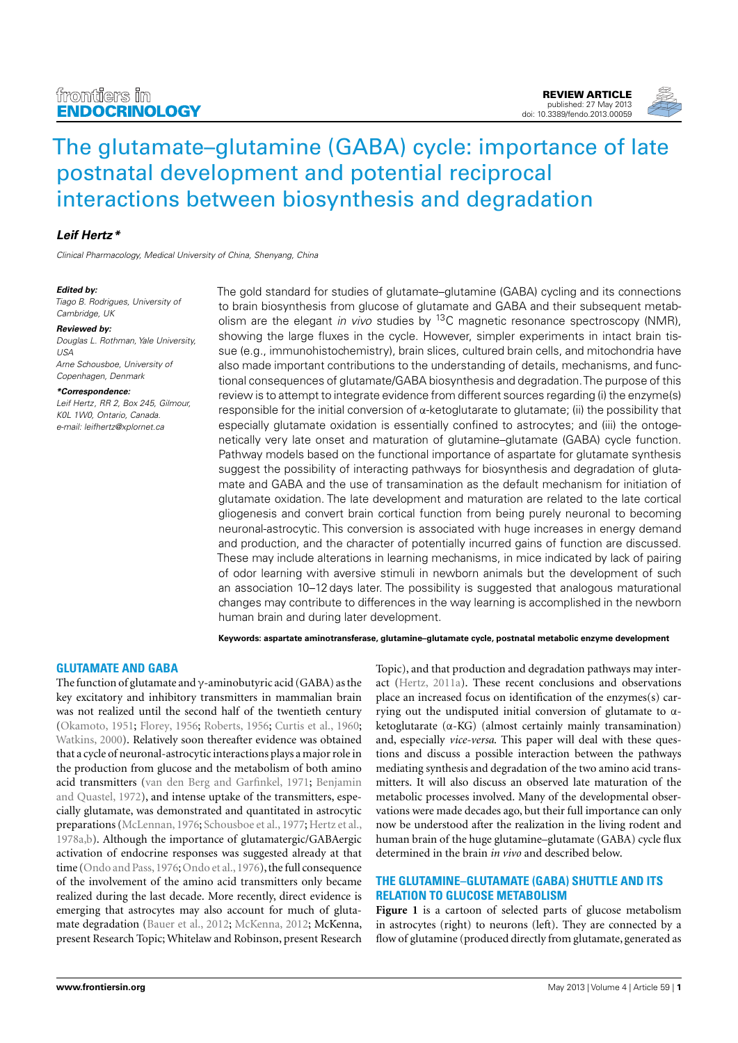

# **[Leif Hertz\\*](http://www.frontiersin.org/Community/WhosWhoActivity.aspx?sname=LeifHertz_1&UID=46981)**

Clinical Pharmacology, Medical University of China, Shenyang, China

#### **Edited by:**

Tiago B. Rodrigues, University of Cambridge, UK

#### **Reviewed by:**

Douglas L. Rothman, Yale University,  $11S<sub>A</sub>$ Arne Schousboe, University of Copenhagen, Denmark

#### **\*Correspondence:**

Leif Hertz, RR 2, Box 245, Gilmour, K0L 1W0, Ontario, Canada. e-mail: [leifhertz@xplornet.ca](mailto:leifhertz@xplornet.ca)

The gold standard for studies of glutamate–glutamine (GABA) cycling and its connections to brain biosynthesis from glucose of glutamate and GABA and their subsequent metabolism are the elegant in vivo studies by  $^{13}$ C magnetic resonance spectroscopy (NMR), showing the large fluxes in the cycle. However, simpler experiments in intact brain tissue (e.g., immunohistochemistry), brain slices, cultured brain cells, and mitochondria have also made important contributions to the understanding of details, mechanisms, and functional consequences of glutamate/GABA biosynthesis and degradation.The purpose of this review is to attempt to integrate evidence from different sources regarding (i) the enzyme(s) responsible for the initial conversion of  $\alpha$ -ketoglutarate to glutamate; (ii) the possibility that especially glutamate oxidation is essentially confined to astrocytes; and (iii) the ontogenetically very late onset and maturation of glutamine–glutamate (GABA) cycle function. Pathway models based on the functional importance of aspartate for glutamate synthesis suggest the possibility of interacting pathways for biosynthesis and degradation of glutamate and GABA and the use of transamination as the default mechanism for initiation of glutamate oxidation. The late development and maturation are related to the late cortical gliogenesis and convert brain cortical function from being purely neuronal to becoming neuronal-astrocytic. This conversion is associated with huge increases in energy demand and production, and the character of potentially incurred gains of function are discussed. These may include alterations in learning mechanisms, in mice indicated by lack of pairing of odor learning with aversive stimuli in newborn animals but the development of such an association 10–12 days later. The possibility is suggested that analogous maturational changes may contribute to differences in the way learning is accomplished in the newborn human brain and during later development.

**Keywords: aspartate aminotransferase, glutamine–glutamate cycle, postnatal metabolic enzyme development**

## **GLUTAMATE AND GABA**

The function of glutamate and  $\gamma$ -aminobutyric acid (GABA) as the key excitatory and inhibitory transmitters in mammalian brain was not realized until the second half of the twentieth century [\(Okamoto, 1951;](#page-14-0) [Florey, 1956;](#page-12-0) [Roberts, 1956;](#page-14-1) [Curtis et al., 1960;](#page-12-1) [Watkins, 2000\)](#page-15-0). Relatively soon thereafter evidence was obtained that a cycle of neuronal-astrocytic interactions plays a major role in the production from glucose and the metabolism of both amino acid transmitters [\(van den Berg and Garfinkel, 1971;](#page-15-1) [Benjamin](#page-12-2) [and Quastel, 1972\)](#page-12-2), and intense uptake of the transmitters, especially glutamate, was demonstrated and quantitated in astrocytic preparations [\(McLennan, 1976;](#page-14-2) [Schousboe et al., 1977;](#page-15-2) [Hertz et al.,](#page-13-0) [1978a,](#page-13-0)[b\)](#page-13-1). Although the importance of glutamatergic/GABAergic activation of endocrine responses was suggested already at that time [\(Ondo and Pass, 1976;](#page-14-3) [Ondo et al., 1976\)](#page-14-4), the full consequence of the involvement of the amino acid transmitters only became realized during the last decade. More recently, direct evidence is emerging that astrocytes may also account for much of glutamate degradation [\(Bauer et al., 2012;](#page-12-3) [McKenna, 2012;](#page-14-5) McKenna, present Research Topic; Whitelaw and Robinson, present Research

Topic), and that production and degradation pathways may interact [\(Hertz, 2011a\)](#page-13-2). These recent conclusions and observations place an increased focus on identification of the enzymes(s) carrying out the undisputed initial conversion of glutamate to  $α$ ketoglutarate  $(\alpha$ -KG) (almost certainly mainly transamination) and, especially *vice-versa*. This paper will deal with these questions and discuss a possible interaction between the pathways mediating synthesis and degradation of the two amino acid transmitters. It will also discuss an observed late maturation of the metabolic processes involved. Many of the developmental observations were made decades ago, but their full importance can only now be understood after the realization in the living rodent and human brain of the huge glutamine–glutamate (GABA) cycle flux determined in the brain *in vivo* and described below.

## **THE GLUTAMINE–GLUTAMATE (GABA) SHUTTLE AND ITS RELATION TO GLUCOSE METABOLISM**

[Figure 1](#page-1-0) is a cartoon of selected parts of glucose metabolism in astrocytes (right) to neurons (left). They are connected by a flow of glutamine (produced directly from glutamate, generated as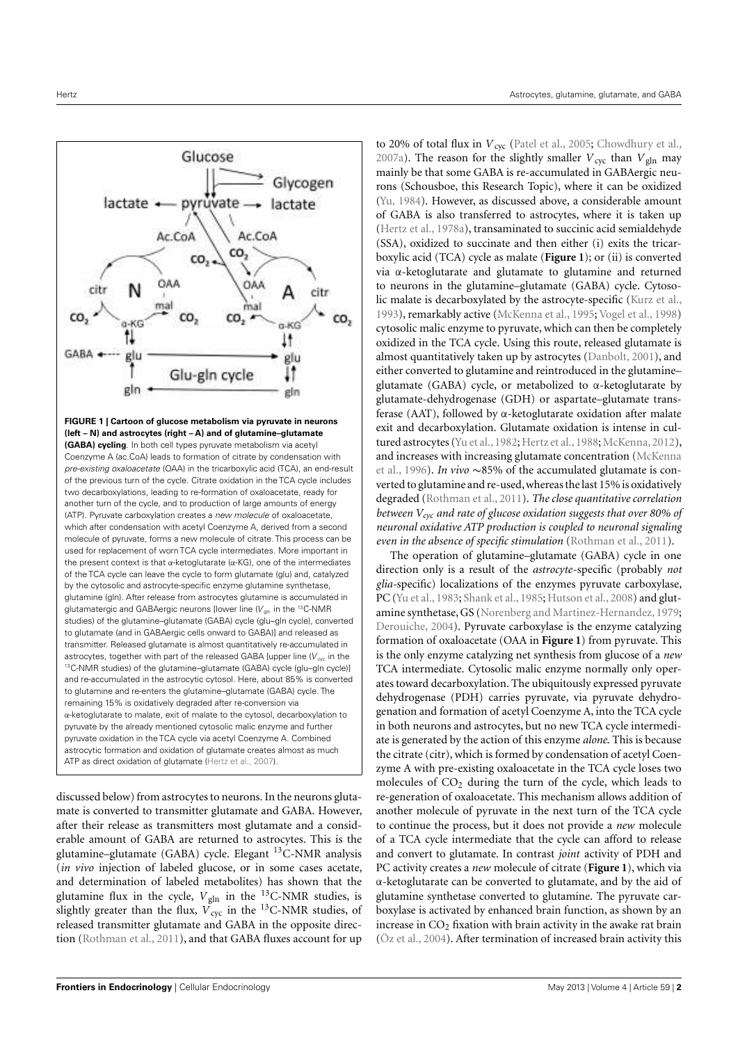

<span id="page-1-0"></span>**FIGURE 1 | Cartoon of glucose metabolism via pyruvate in neurons (left – N) and astrocytes (right – A) and of glutamine–glutamate (GABA) cycling**. In both cell types pyruvate metabolism via acetyl Coenzyme A (ac.CoA) leads to formation of citrate by condensation with pre-existing oxaloacetate (OAA) in the tricarboxylic acid (TCA), an end-result of the previous turn of the cycle. Citrate oxidation in the TCA cycle includes two decarboxylations, leading to re-formation of oxaloacetate, ready for another turn of the cycle, and to production of large amounts of energy (ATP). Pyruvate carboxylation creates a new molecule of oxaloacetate, which after condensation with acetyl Coenzyme A, derived from a second molecule of pyruvate, forms a new molecule of citrate. This process can be used for replacement of worn TCA cycle intermediates. More important in the present context is that α-ketoglutarate (α-KG), one of the intermediates of the TCA cycle can leave the cycle to form glutamate (glu) and, catalyzed by the cytosolic and astrocyte-specific enzyme glutamine synthetase, glutamine (gln). After release from astrocytes glutamine is accumulated in glutamatergic and GABAergic neurons [lower line  $(V_{\text{min}}$  in the <sup>13</sup>C-NMR studies) of the glutamine–glutamate (GABA) cycle (glu–gln cycle), converted to glutamate (and in GABAergic cells onward to GABA)] and released as transmitter. Released glutamate is almost quantitatively re-accumulated in astrocytes, together with part of the released GABA [upper line  $(V_{\text{cyc}}$  in the <sup>13</sup>C-NMR studies) of the glutamine–glutamate (GABA) cycle (glu–gln cycle)] and re-accumulated in the astrocytic cytosol. Here, about 85% is converted to glutamine and re-enters the glutamine–glutamate (GABA) cycle. The remaining 15% is oxidatively degraded after re-conversion via α-ketoglutarate to malate, exit of malate to the cytosol, decarboxylation to pyruvate by the already mentioned cytosolic malic enzyme and further pyruvate oxidation in the TCA cycle via acetyl Coenzyme A. Combined astrocytic formation and oxidation of glutamate creates almost as much ATP as direct oxidation of glutamate [\(Hertz et al.,](#page-13-3) [2007\)](#page-13-3).

discussed below) from astrocytes to neurons. In the neurons glutamate is converted to transmitter glutamate and GABA. However, after their release as transmitters most glutamate and a considerable amount of GABA are returned to astrocytes. This is the glutamine–glutamate (GABA) cycle. Elegant <sup>13</sup>C-NMR analysis (*in vivo* injection of labeled glucose, or in some cases acetate, and determination of labeled metabolites) has shown that the glutamine flux in the cycle,  $V_{\text{gln}}$  in the <sup>13</sup>C-NMR studies, is slightly greater than the flux,  $V_{\text{cyc}}$  in the <sup>13</sup>C-NMR studies, of released transmitter glutamate and GABA in the opposite direction [\(Rothman et al.,](#page-14-6) [2011\)](#page-14-6), and that GABA fluxes account for up

to 20% of total flux in  $V_{\text{cyc}}$  [\(Patel et al.,](#page-14-7) [2005;](#page-14-7) [Chowdhury et al.,](#page-12-4) [2007a\)](#page-12-4). The reason for the slightly smaller  $V_{\text{cyc}}$  than  $V_{\text{eln}}$  may mainly be that some GABA is re-accumulated in GABAergic neurons (Schousboe, this Research Topic), where it can be oxidized [\(Yu,](#page-15-3) [1984\)](#page-15-3). However, as discussed above, a considerable amount of GABA is also transferred to astrocytes, where it is taken up [\(Hertz et al.,](#page-13-0) [1978a\)](#page-13-0), transaminated to succinic acid semialdehyde (SSA), oxidized to succinate and then either (i) exits the tricarboxylic acid (TCA) cycle as malate (**[Figure 1](#page-1-0)**); or (ii) is converted via α-ketoglutarate and glutamate to glutamine and returned to neurons in the glutamine–glutamate (GABA) cycle. Cytosolic malate is decarboxylated by the astrocyte-specific [\(Kurz et al.,](#page-13-4) [1993\)](#page-13-4), remarkably active [\(McKenna et al.,](#page-14-8) [1995;](#page-14-8) [Vogel et al.,](#page-15-4) [1998\)](#page-15-4) cytosolic malic enzyme to pyruvate, which can then be completely oxidized in the TCA cycle. Using this route, released glutamate is almost quantitatively taken up by astrocytes [\(Danbolt,](#page-12-5) [2001\)](#page-12-5), and either converted to glutamine and reintroduced in the glutamine– glutamate (GABA) cycle, or metabolized to α-ketoglutarate by glutamate-dehydrogenase (GDH) or aspartate–glutamate transferase (AAT), followed by α-ketoglutarate oxidation after malate exit and decarboxylation. Glutamate oxidation is intense in cul-tured astrocytes [\(Yu et al.,](#page-15-5) [1982;](#page-15-5) [Hertz et al.,](#page-13-5) [1988;](#page-13-5) [McKenna,](#page-14-5) [2012\)](#page-14-5), and increases with increasing glutamate concentration [\(McKenna](#page-14-9) [et al.,](#page-14-9) [1996\)](#page-14-9). *In vivo* ∼85% of the accumulated glutamate is converted to glutamine and re-used,whereas the last 15% is oxidatively degraded [\(Rothman et al.,](#page-14-6) [2011\)](#page-14-6). *The close quantitative correlation between Vcyc and rate of glucose oxidation suggests that over 80% of neuronal oxidative ATP production is coupled to neuronal signaling even in the absence of specific stimulation* [\(Rothman et al.,](#page-14-6) [2011\)](#page-14-6).

The operation of glutamine–glutamate (GABA) cycle in one direction only is a result of the *astrocyte*-specific (probably *not glia-*specific) localizations of the enzymes pyruvate carboxylase, PC [\(Yu et al.,](#page-15-6) [1983;](#page-15-6) [Shank et al.,](#page-15-7) [1985;](#page-15-7) [Hutson et al.,](#page-13-6) [2008\)](#page-13-6) and glutamine synthetase, GS [\(Norenberg and Martinez-Hernandez,](#page-14-10) [1979;](#page-14-10) [Derouiche,](#page-12-6) [2004\)](#page-12-6). Pyruvate carboxylase is the enzyme catalyzing formation of oxaloacetate (OAA in **[Figure 1](#page-1-0)**) from pyruvate. This is the only enzyme catalyzing net synthesis from glucose of a *new* TCA intermediate. Cytosolic malic enzyme normally only operates toward decarboxylation. The ubiquitously expressed pyruvate dehydrogenase (PDH) carries pyruvate, via pyruvate dehydrogenation and formation of acetyl Coenzyme A, into the TCA cycle in both neurons and astrocytes, but no new TCA cycle intermediate is generated by the action of this enzyme *alone*. This is because the citrate (citr), which is formed by condensation of acetyl Coenzyme A with pre-existing oxaloacetate in the TCA cycle loses two molecules of  $CO<sub>2</sub>$  during the turn of the cycle, which leads to re-generation of oxaloacetate. This mechanism allows addition of another molecule of pyruvate in the next turn of the TCA cycle to continue the process, but it does not provide a *new* molecule of a TCA cycle intermediate that the cycle can afford to release and convert to glutamate. In contrast *joint* activity of PDH and PC activity creates a *new* molecule of citrate (**[Figure 1](#page-1-0)**), which via α-ketoglutarate can be converted to glutamate, and by the aid of glutamine synthetase converted to glutamine. The pyruvate carboxylase is activated by enhanced brain function, as shown by an increase in  $CO<sub>2</sub>$  fixation with brain activity in the awake rat brain [\(Öz et al.,](#page-14-11) [2004\)](#page-14-11). After termination of increased brain activity this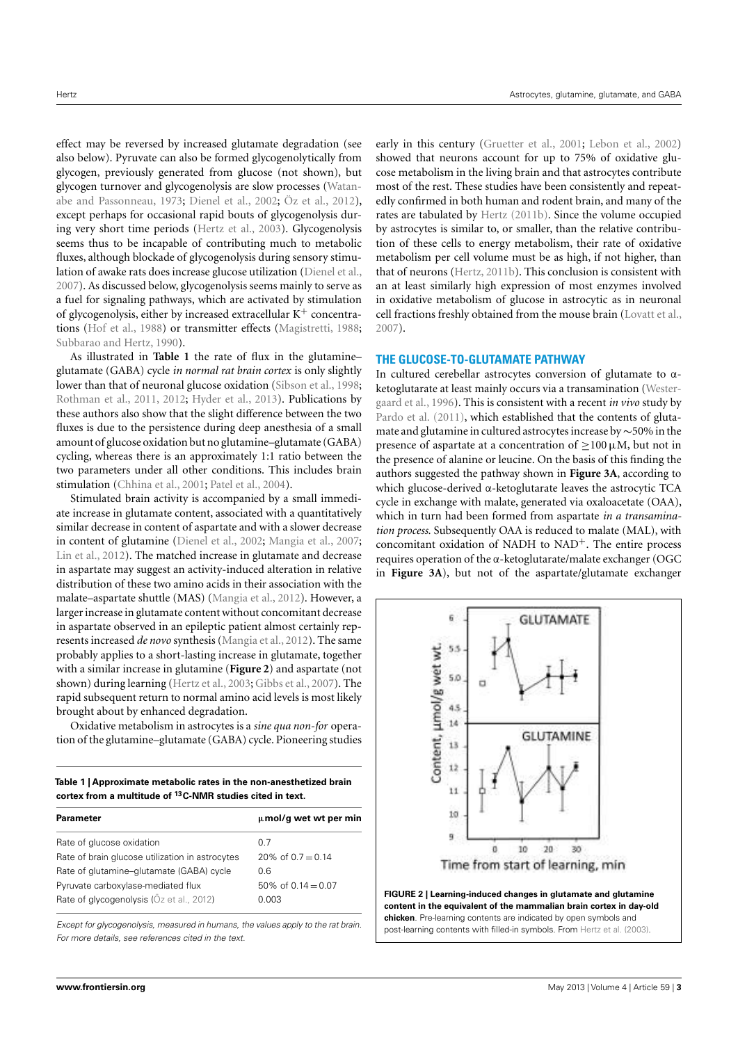effect may be reversed by increased glutamate degradation (see also below). Pyruvate can also be formed glycogenolytically from glycogen, previously generated from glucose (not shown), but glycogen turnover and glycogenolysis are slow processes [\(Watan](#page-15-8)[abe and Passonneau,](#page-15-8) [1973;](#page-15-8) [Dienel et al.,](#page-12-7) [2002;](#page-12-7) [Öz et al.,](#page-14-12) [2012\)](#page-14-12), except perhaps for occasional rapid bouts of glycogenolysis during very short time periods [\(Hertz et al.,](#page-13-7) [2003\)](#page-13-7). Glycogenolysis seems thus to be incapable of contributing much to metabolic fluxes, although blockade of glycogenolysis during sensory stimulation of awake rats does increase glucose utilization [\(Dienel et al.,](#page-12-8) [2007\)](#page-12-8). As discussed below, glycogenolysis seems mainly to serve as a fuel for signaling pathways, which are activated by stimulation of glycogenolysis, either by increased extracellular  $K^+$  concentrations [\(Hof et al.,](#page-13-8) [1988\)](#page-13-8) or transmitter effects [\(Magistretti,](#page-13-9) [1988;](#page-13-9) [Subbarao and Hertz,](#page-15-9) [1990\)](#page-15-9).

As illustrated in **[Table 1](#page-2-0)** the rate of flux in the glutamine– glutamate (GABA) cycle *in normal rat brain cortex* is only slightly lower than that of neuronal glucose oxidation [\(Sibson et al.,](#page-15-10) [1998;](#page-15-10) [Rothman et al.,](#page-14-6) [2011,](#page-14-6) [2012;](#page-14-13) [Hyder et al.,](#page-13-10) [2013\)](#page-13-10). Publications by these authors also show that the slight difference between the two fluxes is due to the persistence during deep anesthesia of a small amount of glucose oxidation but no glutamine–glutamate (GABA) cycling, whereas there is an approximately 1:1 ratio between the two parameters under all other conditions. This includes brain stimulation [\(Chhina et al.,](#page-12-9) [2001;](#page-12-9) [Patel et al.,](#page-14-14) [2004\)](#page-14-14).

Stimulated brain activity is accompanied by a small immediate increase in glutamate content, associated with a quantitatively similar decrease in content of aspartate and with a slower decrease in content of glutamine [\(Dienel et al.,](#page-12-7) [2002;](#page-12-7) [Mangia et al.,](#page-14-15) [2007;](#page-14-15) [Lin et al.,](#page-13-11) [2012\)](#page-13-11). The matched increase in glutamate and decrease in aspartate may suggest an activity-induced alteration in relative distribution of these two amino acids in their association with the malate–aspartate shuttle (MAS) [\(Mangia et al.,](#page-13-12) [2012\)](#page-13-12). However, a larger increase in glutamate content without concomitant decrease in aspartate observed in an epileptic patient almost certainly represents increased *de novo* synthesis [\(Mangia et al.,](#page-13-12) [2012\)](#page-13-12). The same probably applies to a short-lasting increase in glutamate, together with a similar increase in glutamine (**[Figure 2](#page-2-1)**) and aspartate (not shown) during learning [\(Hertz et al.,](#page-13-7) [2003;](#page-13-7) [Gibbs et al.,](#page-13-13) [2007\)](#page-13-13). The rapid subsequent return to normal amino acid levels is most likely brought about by enhanced degradation.

Oxidative metabolism in astrocytes is a *sine qua non-for* operation of the glutamine–glutamate (GABA) cycle. Pioneering studies

<span id="page-2-0"></span>**Table 1 | Approximate metabolic rates in the non-anesthetized brain cortex from a multitude of <sup>13</sup>C-NMR studies cited in text.**

| $\mu$ mol/g wet wt per min |
|----------------------------|
| 0 7                        |
| 20\% of $0.7 = 0.14$       |
| 0.6                        |
| 50\% of $0.14 = 0.07$      |
| 0.003                      |
|                            |

Except for glycogenolysis, measured in humans, the values apply to the rat brain. For more details, see references cited in the text.

early in this century [\(Gruetter et al.,](#page-13-14) [2001;](#page-13-14) [Lebon et al.,](#page-13-15) [2002\)](#page-13-15) showed that neurons account for up to 75% of oxidative glucose metabolism in the living brain and that astrocytes contribute most of the rest. These studies have been consistently and repeatedly confirmed in both human and rodent brain, and many of the rates are tabulated by [Hertz](#page-13-16) [\(2011b\)](#page-13-16). Since the volume occupied by astrocytes is similar to, or smaller, than the relative contribution of these cells to energy metabolism, their rate of oxidative metabolism per cell volume must be as high, if not higher, than that of neurons [\(Hertz,](#page-13-16) [2011b\)](#page-13-16). This conclusion is consistent with an at least similarly high expression of most enzymes involved in oxidative metabolism of glucose in astrocytic as in neuronal cell fractions freshly obtained from the mouse brain [\(Lovatt et al.,](#page-13-17) [2007\)](#page-13-17).

### **THE GLUCOSE-TO-GLUTAMATE PATHWAY**

In cultured cerebellar astrocytes conversion of glutamate to αketoglutarate at least mainly occurs via a transamination [\(Wester](#page-15-11)[gaard et al.,](#page-15-11) [1996\)](#page-15-11). This is consistent with a recent *in vivo* study by [Pardo et al.](#page-14-16) [\(2011\)](#page-14-16), which established that the contents of glutamate and glutamine in cultured astrocytes increase by ∼50% in the presence of aspartate at a concentration of  $\geq$ 100 µM, but not in the presence of alanine or leucine. On the basis of this finding the authors suggested the pathway shown in **[Figure 3A](#page-3-0)**, according to which glucose-derived α-ketoglutarate leaves the astrocytic TCA cycle in exchange with malate, generated via oxaloacetate (OAA), which in turn had been formed from aspartate *in a transamination process*. Subsequently OAA is reduced to malate (MAL), with concomitant oxidation of NADH to NAD+. The entire process requires operation of the α-ketoglutarate/malate exchanger (OGC in **[Figure 3A](#page-3-0)**), but not of the aspartate/glutamate exchanger



<span id="page-2-1"></span>**FIGURE 2 | Learning-induced changes in glutamate and glutamine content in the equivalent of the mammalian brain cortex in day-old chicken**. Pre-learning contents are indicated by open symbols and post-learning contents with filled-in symbols. From [Hertz et al.](#page-13-7) [\(2003\)](#page-13-7).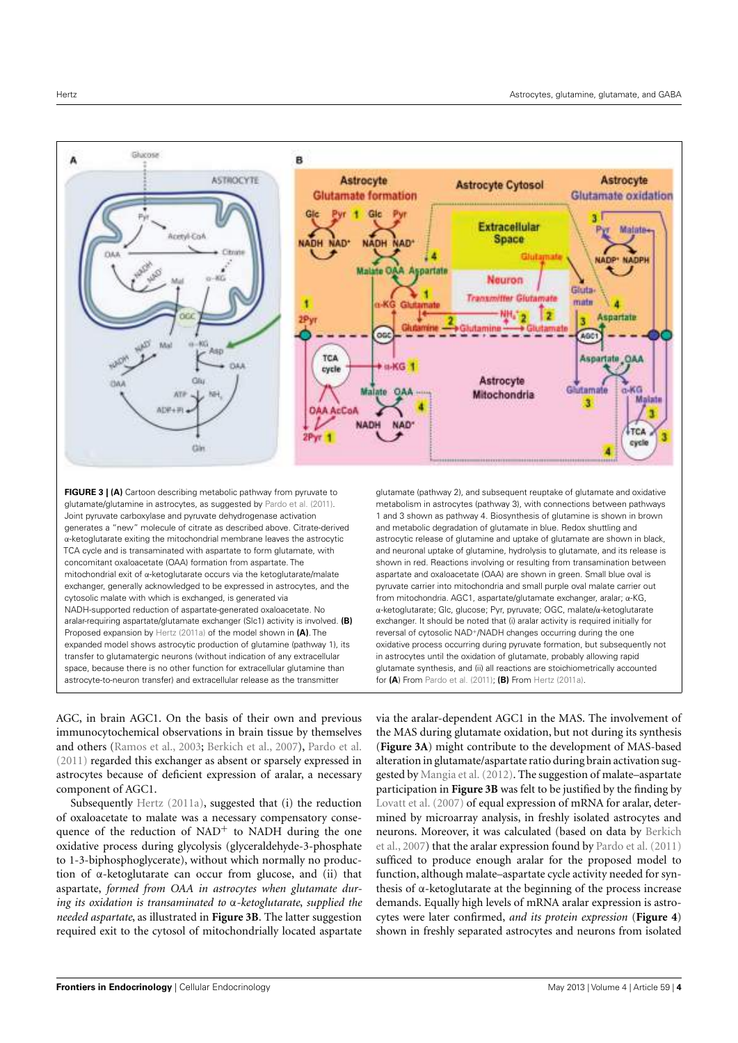

<span id="page-3-0"></span>**FIGURE 3 | (A)** Cartoon describing metabolic pathway from pyruvate to glutamate/glutamine in astrocytes, as suggested by [Pardo et al.](#page-14-16) [\(2011\)](#page-14-16). Joint pyruvate carboxylase and pyruvate dehydrogenase activation generates a "new" molecule of citrate as described above. Citrate-derived α-ketoglutarate exiting the mitochondrial membrane leaves the astrocytic TCA cycle and is transaminated with aspartate to form glutamate, with concomitant oxaloacetate (OAA) formation from aspartate. The mitochondrial exit of α-ketoglutarate occurs via the ketoglutarate/malate exchanger, generally acknowledged to be expressed in astrocytes, and the cytosolic malate with which is exchanged, is generated via NADH-supported reduction of aspartate-generated oxaloacetate. No aralar-requiring aspartate/glutamate exchanger (Slc1) activity is involved. **(B)** Proposed expansion by [Hertz](#page-13-2) [\(2011a\)](#page-13-2) of the model shown in **(A)**. The expanded model shows astrocytic production of glutamine (pathway 1), its transfer to glutamatergic neurons (without indication of any extracellular space, because there is no other function for extracellular glutamine than astrocyte-to-neuron transfer) and extracellular release as the transmitter

glutamate (pathway 2), and subsequent reuptake of glutamate and oxidative metabolism in astrocytes (pathway 3), with connections between pathways 1 and 3 shown as pathway 4. Biosynthesis of glutamine is shown in brown and metabolic degradation of glutamate in blue. Redox shuttling and astrocytic release of glutamine and uptake of glutamate are shown in black, and neuronal uptake of glutamine, hydrolysis to glutamate, and its release is shown in red. Reactions involving or resulting from transamination between aspartate and oxaloacetate (OAA) are shown in green. Small blue oval is pyruvate carrier into mitochondria and small purple oval malate carrier out from mitochondria. AGC1, aspartate/glutamate exchanger, aralar; α-KG, α-ketoglutarate; Glc, glucose; Pyr, pyruvate; OGC, malate/α-ketoglutarate exchanger. It should be noted that (i) aralar activity is required initially for reversal of cytosolic NAD+/NADH changes occurring during the one oxidative process occurring during pyruvate formation, but subsequently not in astrocytes until the oxidation of glutamate, probably allowing rapid glutamate synthesis, and (ii) all reactions are stoichiometrically accounted for **(A**) From [Pardo et al.](#page-14-16) [\(2011\)](#page-14-16); **(B)** From [Hertz](#page-13-2) [\(2011a\)](#page-13-2).

AGC, in brain AGC1. On the basis of their own and previous immunocytochemical observations in brain tissue by themselves and others [\(Ramos et al.,](#page-14-17) [2003;](#page-14-17) [Berkich et al.,](#page-12-10) [2007\)](#page-12-10), [Pardo et al.](#page-14-16) [\(2011\)](#page-14-16) regarded this exchanger as absent or sparsely expressed in astrocytes because of deficient expression of aralar, a necessary component of AGC1.

Subsequently [Hertz](#page-13-2) [\(2011a\)](#page-13-2), suggested that (i) the reduction of oxaloacetate to malate was a necessary compensatory consequence of the reduction of  $NAD<sup>+</sup>$  to NADH during the one oxidative process during glycolysis (glyceraldehyde-3-phosphate to 1-3-biphosphoglycerate), without which normally no production of α-ketoglutarate can occur from glucose, and (ii) that aspartate, *formed from OAA in astrocytes when glutamate during its oxidation is transaminated to* α*-ketoglutarate*, *supplied the needed aspartate*, as illustrated in **[Figure 3B](#page-3-0)**. The latter suggestion required exit to the cytosol of mitochondrially located aspartate via the aralar-dependent AGC1 in the MAS. The involvement of the MAS during glutamate oxidation, but not during its synthesis (**[Figure 3A](#page-3-0)**) might contribute to the development of MAS-based alteration in glutamate/aspartate ratio during brain activation suggested by [Mangia et al.\(2012\)](#page-13-12). The suggestion of malate–aspartate participation in **[Figure 3B](#page-3-0)** was felt to be justified by the finding by [Lovatt et al.](#page-13-17) [\(2007\)](#page-13-17) of equal expression of mRNA for aralar, determined by microarray analysis, in freshly isolated astrocytes and neurons. Moreover, it was calculated (based on data by [Berkich](#page-12-10) [et al.,](#page-12-10) [2007\)](#page-12-10) that the aralar expression found by [Pardo et al.](#page-14-16) [\(2011\)](#page-14-16) sufficed to produce enough aralar for the proposed model to function, although malate–aspartate cycle activity needed for synthesis of α-ketoglutarate at the beginning of the process increase demands. Equally high levels of mRNA aralar expression is astrocytes were later confirmed, *and its protein expression* (**[Figure 4](#page-4-0)**) shown in freshly separated astrocytes and neurons from isolated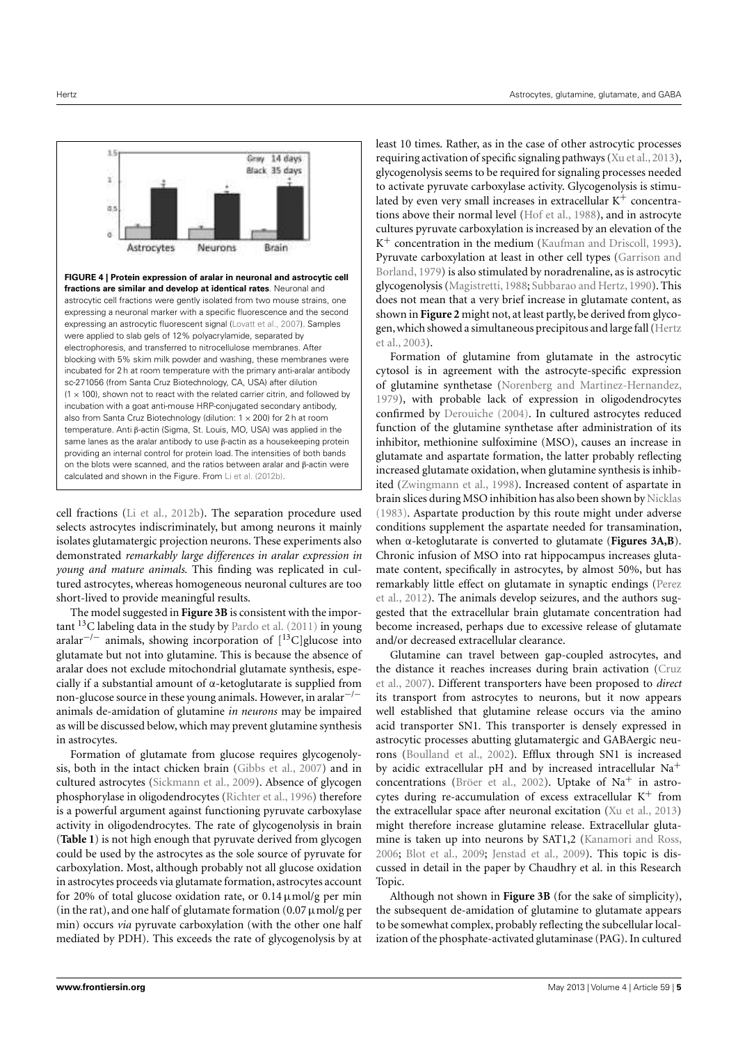<span id="page-4-0"></span>

cell fractions [\(Li et al.,](#page-13-18) [2012b\)](#page-13-18). The separation procedure used selects astrocytes indiscriminately, but among neurons it mainly isolates glutamatergic projection neurons. These experiments also demonstrated *remarkably large differences in aralar expression in young and mature animals*. This finding was replicated in cultured astrocytes, whereas homogeneous neuronal cultures are too short-lived to provide meaningful results.

The model suggested in **[Figure 3B](#page-3-0)** is consistent with the important  $^{13}$ C labeling data in the study by [Pardo et al.](#page-14-16) [\(2011\)](#page-14-16) in young aralar<sup>-/-</sup> animals, showing incorporation of  $[^{13}C]$ glucose into glutamate but not into glutamine. This is because the absence of aralar does not exclude mitochondrial glutamate synthesis, especially if a substantial amount of α-ketoglutarate is supplied from non-glucose source in these young animals. However, in aralar<sup>-/−</sup> animals de-amidation of glutamine *in neurons* may be impaired as will be discussed below, which may prevent glutamine synthesis in astrocytes.

Formation of glutamate from glucose requires glycogenolysis, both in the intact chicken brain [\(Gibbs et al.,](#page-13-13) [2007\)](#page-13-13) and in cultured astrocytes [\(Sickmann et al.,](#page-15-12) [2009\)](#page-15-12). Absence of glycogen phosphorylase in oligodendrocytes [\(Richter et al.,](#page-14-18) [1996\)](#page-14-18) therefore is a powerful argument against functioning pyruvate carboxylase activity in oligodendrocytes. The rate of glycogenolysis in brain (**[Table 1](#page-2-0)**) is not high enough that pyruvate derived from glycogen could be used by the astrocytes as the sole source of pyruvate for carboxylation. Most, although probably not all glucose oxidation in astrocytes proceeds via glutamate formation, astrocytes account for 20% of total glucose oxidation rate, or  $0.14 \mu$ mol/g per min (in the rat), and one half of glutamate formation  $(0.07 \,\mu\text{mol/g}$  per min) occurs *via* pyruvate carboxylation (with the other one half mediated by PDH). This exceeds the rate of glycogenolysis by at

least 10 times. Rather, as in the case of other astrocytic processes requiring activation of specific signaling pathways [\(Xu et al.,](#page-15-13) [2013\)](#page-15-13), glycogenolysis seems to be required for signaling processes needed to activate pyruvate carboxylase activity. Glycogenolysis is stimulated by even very small increases in extracellular  $K^+$  concentrations above their normal level [\(Hof et al.,](#page-13-8) [1988\)](#page-13-8), and in astrocyte cultures pyruvate carboxylation is increased by an elevation of the K <sup>+</sup> concentration in the medium [\(Kaufman and Driscoll,](#page-13-19) [1993\)](#page-13-19). Pyruvate carboxylation at least in other cell types [\(Garrison and](#page-13-20) [Borland,](#page-13-20) [1979\)](#page-13-20) is also stimulated by noradrenaline, as is astrocytic glycogenolysis [\(Magistretti,](#page-13-9) [1988;](#page-13-9) [Subbarao and Hertz,](#page-15-9) [1990\)](#page-15-9). This does not mean that a very brief increase in glutamate content, as shown in **[Figure 2](#page-2-1)** might not, at least partly, be derived from glycogen, which showed a simultaneous precipitous and large fall [\(Hertz](#page-13-7) [et al.,](#page-13-7) [2003\)](#page-13-7).

Formation of glutamine from glutamate in the astrocytic cytosol is in agreement with the astrocyte-specific expression of glutamine synthetase [\(Norenberg and Martinez-Hernandez,](#page-14-10) [1979\)](#page-14-10), with probable lack of expression in oligodendrocytes confirmed by [Derouiche](#page-12-6) [\(2004\)](#page-12-6). In cultured astrocytes reduced function of the glutamine synthetase after administration of its inhibitor, methionine sulfoximine (MSO), causes an increase in glutamate and aspartate formation, the latter probably reflecting increased glutamate oxidation, when glutamine synthesis is inhibited [\(Zwingmann et al.,](#page-15-14) [1998\)](#page-15-14). Increased content of aspartate in brain slices during MSO inhibition has also been shown by [Nicklas](#page-14-19) [\(1983\)](#page-14-19). Aspartate production by this route might under adverse conditions supplement the aspartate needed for transamination, when α-ketoglutarate is converted to glutamate (**[Figures 3A,B](#page-3-0)**). Chronic infusion of MSO into rat hippocampus increases glutamate content, specifically in astrocytes, by almost 50%, but has remarkably little effect on glutamate in synaptic endings [\(Perez](#page-14-20) [et al.,](#page-14-20) [2012\)](#page-14-20). The animals develop seizures, and the authors suggested that the extracellular brain glutamate concentration had become increased, perhaps due to excessive release of glutamate and/or decreased extracellular clearance.

Glutamine can travel between gap-coupled astrocytes, and the distance it reaches increases during brain activation [\(Cruz](#page-12-11) [et al.,](#page-12-11) [2007\)](#page-12-11). Different transporters have been proposed to *direct* its transport from astrocytes to neurons, but it now appears well established that glutamine release occurs via the amino acid transporter SN1. This transporter is densely expressed in astrocytic processes abutting glutamatergic and GABAergic neurons [\(Boulland et al.,](#page-12-12) [2002\)](#page-12-12). Efflux through SN1 is increased by acidic extracellular pH and by increased intracellular Na<sup>+</sup> concentrations [\(Bröer et al.,](#page-12-13) [2002\)](#page-12-13). Uptake of  $Na<sup>+</sup>$  in astrocytes during re-accumulation of excess extracellular  $K^+$  from the extracellular space after neuronal excitation [\(Xu et al.,](#page-15-13) [2013\)](#page-15-13) might therefore increase glutamine release. Extracellular glutamine is taken up into neurons by SAT1,2 [\(Kanamori and Ross,](#page-13-21) [2006;](#page-13-21) [Blot et al.,](#page-12-14) [2009;](#page-12-14) [Jenstad et al.,](#page-13-22) [2009\)](#page-13-22). This topic is discussed in detail in the paper by Chaudhry et al. in this Research Topic.

Although not shown in **[Figure 3B](#page-3-0)** (for the sake of simplicity), the subsequent de-amidation of glutamine to glutamate appears to be somewhat complex, probably reflecting the subcellular localization of the phosphate-activated glutaminase (PAG). In cultured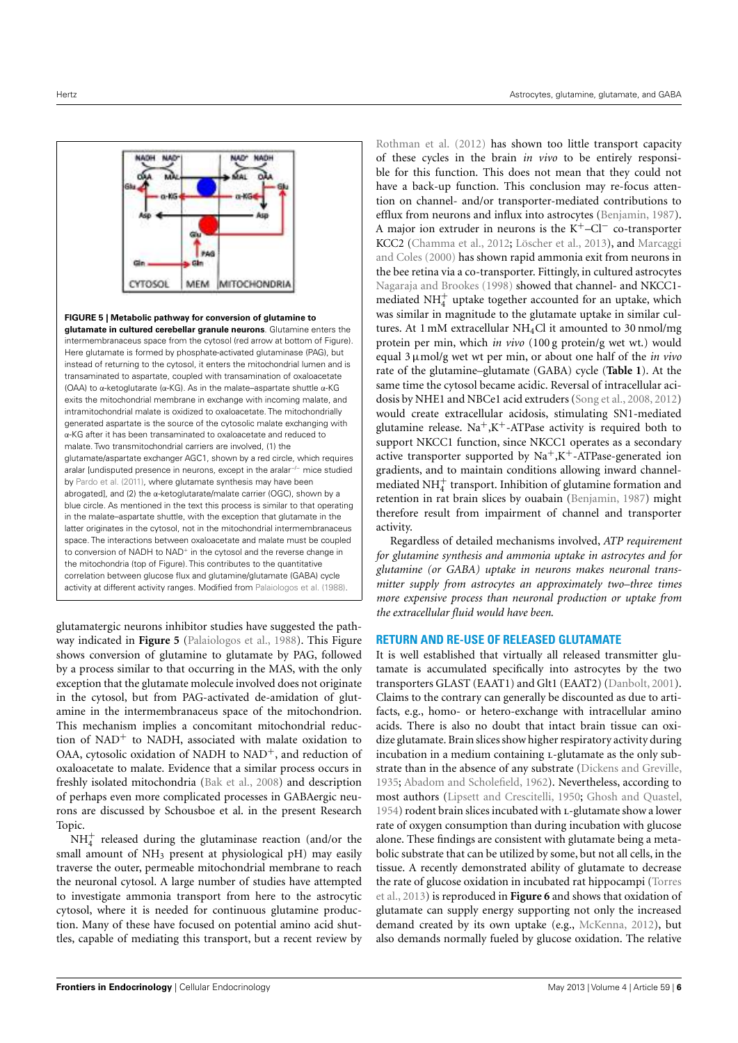

## <span id="page-5-0"></span>**FIGURE 5 | Metabolic pathway for conversion of glutamine to**

**glutamate in cultured cerebellar granule neurons**. Glutamine enters the intermembranaceus space from the cytosol (red arrow at bottom of Figure). Here glutamate is formed by phosphate-activated glutaminase (PAG), but instead of returning to the cytosol, it enters the mitochondrial lumen and is transaminated to aspartate, coupled with transamination of oxaloacetate (OAA) to α-ketoglutarate (α-KG). As in the malate–aspartate shuttle α-KG exits the mitochondrial membrane in exchange with incoming malate, and intramitochondrial malate is oxidized to oxaloacetate. The mitochondrially generated aspartate is the source of the cytosolic malate exchanging with α-KG after it has been transaminated to oxaloacetate and reduced to malate. Two transmitochondrial carriers are involved, (1) the glutamate/aspartate exchanger AGC1, shown by a red circle, which requires aralar [undisputed presence in neurons, except in the aralar<sup>-/−</sup> mice studied by [Pardo et al.](#page-14-16) [\(2011\)](#page-14-16), where glutamate synthesis may have been abrogated], and (2) the α-ketoglutarate/malate carrier (OGC), shown by a blue circle. As mentioned in the text this process is similar to that operating in the malate–aspartate shuttle, with the exception that glutamate in the latter originates in the cytosol, not in the mitochondrial intermembranaceus space. The interactions between oxaloacetate and malate must be coupled to conversion of NADH to NAD<sup>+</sup> in the cytosol and the reverse change in the mitochondria (top of Figure). This contributes to the quantitative correlation between glucose flux and glutamine/glutamate (GABA) cycle activity at different activity ranges. Modified from [Palaiologos et al.](#page-14-21) [\(1988\)](#page-14-21).

glutamatergic neurons inhibitor studies have suggested the pathway indicated in **[Figure 5](#page-5-0)** [\(Palaiologos et al.,](#page-14-21) [1988\)](#page-14-21). This Figure shows conversion of glutamine to glutamate by PAG, followed by a process similar to that occurring in the MAS, with the only exception that the glutamate molecule involved does not originate in the cytosol, but from PAG-activated de-amidation of glutamine in the intermembranaceus space of the mitochondrion. This mechanism implies a concomitant mitochondrial reduction of NAD<sup>+</sup> to NADH, associated with malate oxidation to OAA, cytosolic oxidation of NADH to  $NAD^+$ , and reduction of oxaloacetate to malate. Evidence that a similar process occurs in freshly isolated mitochondria [\(Bak et al.,](#page-12-15) [2008\)](#page-12-15) and description of perhaps even more complicated processes in GABAergic neurons are discussed by Schousboe et al. in the present Research Topic.

 $NH<sub>4</sub><sup>+</sup>$  released during the glutaminase reaction (and/or the small amount of NH<sub>3</sub> present at physiological pH) may easily traverse the outer, permeable mitochondrial membrane to reach the neuronal cytosol. A large number of studies have attempted to investigate ammonia transport from here to the astrocytic cytosol, where it is needed for continuous glutamine production. Many of these have focused on potential amino acid shuttles, capable of mediating this transport, but a recent review by

[Rothman et al.](#page-14-13) [\(2012\)](#page-14-13) has shown too little transport capacity of these cycles in the brain *in vivo* to be entirely responsible for this function. This does not mean that they could not have a back-up function. This conclusion may re-focus attention on channel- and/or transporter-mediated contributions to efflux from neurons and influx into astrocytes [\(Benjamin,](#page-12-16) [1987\)](#page-12-16). A major ion extruder in neurons is the  $K^+$ –Cl<sup>−</sup> co-transporter KCC2 [\(Chamma et al.,](#page-12-17) [2012;](#page-12-17) [Löscher et al.,](#page-13-23) [2013\)](#page-13-23), and [Marcaggi](#page-14-22) [and Coles](#page-14-22) [\(2000\)](#page-14-22) has shown rapid ammonia exit from neurons in the bee retina via a co-transporter. Fittingly, in cultured astrocytes [Nagaraja and Brookes](#page-14-23) [\(1998\)](#page-14-23) showed that channel- and NKCC1 mediated  $\mathrm{NH}_4^+$  uptake together accounted for an uptake, which was similar in magnitude to the glutamate uptake in similar cultures. At 1 mM extracellular NH4Cl it amounted to 30 nmol/mg protein per min, which *in vivo* (100 g protein/g wet wt.) would equal 3µmol/g wet wt per min, or about one half of the *in vivo* rate of the glutamine–glutamate (GABA) cycle (**[Table 1](#page-2-0)**). At the same time the cytosol became acidic. Reversal of intracellular acidosis by NHE1 and NBCe1 acid extruders [\(Song et al.,](#page-15-15) [2008,](#page-15-15) [2012\)](#page-15-16) would create extracellular acidosis, stimulating SN1-mediated glutamine release.  $Na^+, K^+$ -ATPase activity is required both to support NKCC1 function, since NKCC1 operates as a secondary active transporter supported by  $Na^+, K^+$ -ATPase-generated ion gradients, and to maintain conditions allowing inward channelmediated  $NH<sub>4</sub><sup>+</sup>$  transport. Inhibition of glutamine formation and retention in rat brain slices by ouabain [\(Benjamin,](#page-12-16) [1987\)](#page-12-16) might therefore result from impairment of channel and transporter activity.

Regardless of detailed mechanisms involved, *ATP requirement for glutamine synthesis and ammonia uptake in astrocytes and for glutamine (or GABA) uptake in neurons makes neuronal transmitter supply from astrocytes an approximately two–three times more expensive process than neuronal production or uptake from the extracellular fluid would have been*.

## **RETURN AND RE-USE OF RELEASED GLUTAMATE**

It is well established that virtually all released transmitter glutamate is accumulated specifically into astrocytes by the two transporters GLAST (EAAT1) and Glt1 (EAAT2) [\(Danbolt,](#page-12-5) [2001\)](#page-12-5). Claims to the contrary can generally be discounted as due to artifacts, e.g., homo- or hetero-exchange with intracellular amino acids. There is also no doubt that intact brain tissue can oxidize glutamate. Brain slices show higher respiratory activity during incubation in a medium containing L-glutamate as the only substrate than in the absence of any substrate [\(Dickens and Greville,](#page-12-18) [1935;](#page-12-18) [Abadom and Scholefield,](#page-12-19) [1962\)](#page-12-19). Nevertheless, according to most authors [\(Lipsett and Crescitelli,](#page-13-24) [1950;](#page-13-24) [Ghosh and Quastel,](#page-13-25) [1954\)](#page-13-25) rodent brain slices incubated with l-glutamate show a lower rate of oxygen consumption than during incubation with glucose alone. These findings are consistent with glutamate being a metabolic substrate that can be utilized by some, but not all cells, in the tissue. A recently demonstrated ability of glutamate to decrease the rate of glucose oxidation in incubated rat hippocampi [\(Torres](#page-15-17) [et al.,](#page-15-17) [2013\)](#page-15-17) is reproduced in **[Figure 6](#page-6-0)** and shows that oxidation of glutamate can supply energy supporting not only the increased demand created by its own uptake (e.g., [McKenna,](#page-14-5) [2012\)](#page-14-5), but also demands normally fueled by glucose oxidation. The relative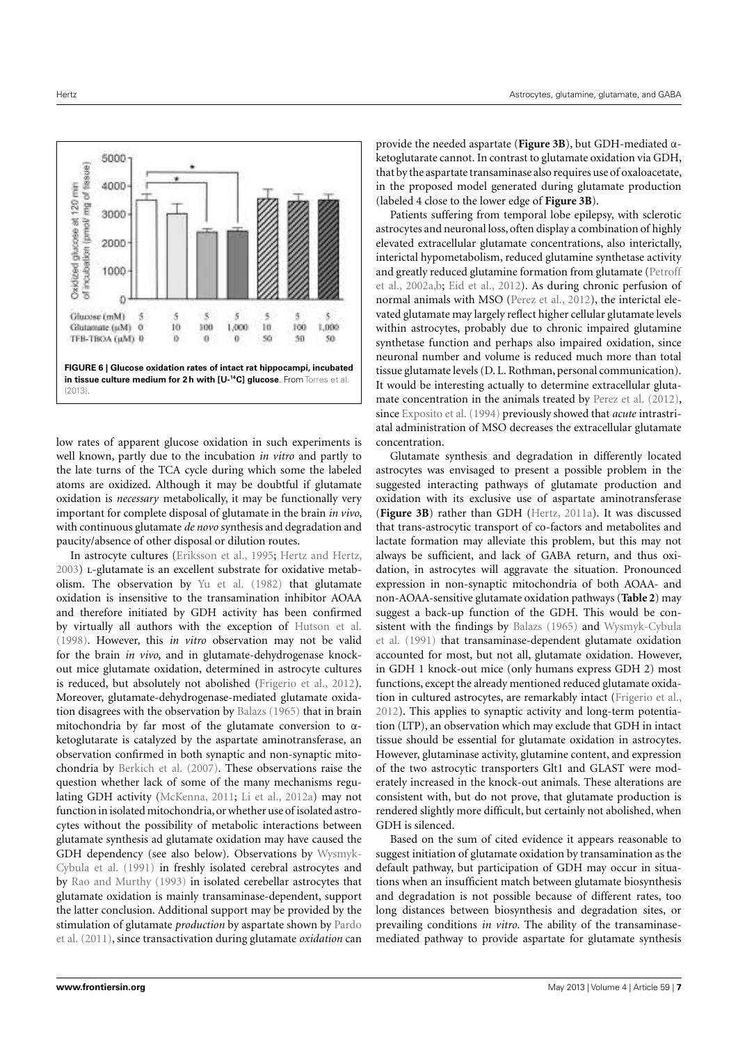provide the needed aspartate (**[Figure 3B](#page-3-0)**), but GDH-mediated αketoglutarate cannot. In contrast to glutamate oxidation via GDH, that by the aspartate transaminase also requires use of oxaloacetate, in the proposed model generated during glutamate production (labeled 4 close to the lower edge of **[Figure 3B](#page-3-0)**).

Patients suffering from temporal lobe epilepsy, with sclerotic astrocytes and neuronal loss, often display a combination of highly elevated extracellular glutamate concentrations, also interictally, interictal hypometabolism, reduced glutamine synthetase activity and greatly reduced glutamine formation from glutamate [\(Petroff](#page-14-26) [et al.,](#page-14-26) [2002a,](#page-14-26)[b;](#page-14-27) [Eid et al.,](#page-12-23) [2012\)](#page-12-23). As during chronic perfusion of normal animals with MSO [\(Perez et al.,](#page-14-20) [2012\)](#page-14-20), the interictal elevated glutamate may largely reflect higher cellular glutamate levels within astrocytes, probably due to chronic impaired glutamine synthetase function and perhaps also impaired oxidation, since neuronal number and volume is reduced much more than total tissue glutamate levels (D. L. Rothman, personal communication). It would be interesting actually to determine extracellular glutamate concentration in the animals treated by [Perez et al.](#page-14-20) [\(2012\)](#page-14-20), since [Exposito et al.](#page-12-24) [\(1994\)](#page-12-24) previously showed that *acute* intrastriatal administration of MSO decreases the extracellular glutamate concentration.

Glutamate synthesis and degradation in differently located astrocytes was envisaged to present a possible problem in the suggested interacting pathways of glutamate production and oxidation with its exclusive use of aspartate aminotransferase (**[Figure 3B](#page-3-0)**) rather than GDH [\(Hertz,](#page-13-2) [2011a\)](#page-13-2). It was discussed that trans-astrocytic transport of co-factors and metabolites and lactate formation may alleviate this problem, but this may not always be sufficient, and lack of GABA return, and thus oxidation, in astrocytes will aggravate the situation. Pronounced expression in non-synaptic mitochondria of both AOAA- and non-AOAA-sensitive glutamate oxidation pathways (**[Table 2](#page-7-0)**) may suggest a back-up function of the GDH. This would be consistent with the findings by [Balazs](#page-12-22) [\(1965\)](#page-12-22) and [Wysmyk-Cybula](#page-15-18) [et al.](#page-15-18) [\(1991\)](#page-15-18) that transaminase-dependent glutamate oxidation accounted for most, but not all, glutamate oxidation. However, in GDH 1 knock-out mice (only humans express GDH 2) most functions, except the already mentioned reduced glutamate oxidation in cultured astrocytes, are remarkably intact [\(Frigerio et al.,](#page-12-21) [2012\)](#page-12-21). This applies to synaptic activity and long-term potentiation (LTP), an observation which may exclude that GDH in intact tissue should be essential for glutamate oxidation in astrocytes. However, glutaminase activity, glutamine content, and expression of the two astrocytic transporters Glt1 and GLAST were moderately increased in the knock-out animals. These alterations are consistent with, but do not prove, that glutamate production is rendered slightly more difficult, but certainly not abolished, when GDH is silenced.

Based on the sum of cited evidence it appears reasonable to suggest initiation of glutamate oxidation by transamination as the default pathway, but participation of GDH may occur in situations when an insufficient match between glutamate biosynthesis and degradation is not possible because of different rates, too long distances between biosynthesis and degradation sites, or prevailing conditions *in vitro*. The ability of the transaminasemediated pathway to provide aspartate for glutamate synthesis

In astrocyte cultures [\(Eriksson et al.,](#page-12-20) [1995;](#page-12-20) [Hertz and Hertz,](#page-13-26) [2003\)](#page-13-26) L-glutamate is an excellent substrate for oxidative metabolism. The observation by [Yu et al.](#page-15-5) [\(1982\)](#page-15-5) that glutamate oxidation is insensitive to the transamination inhibitor AOAA and therefore initiated by GDH activity has been confirmed by virtually all authors with the exception of [Hutson et al.](#page-13-27) [\(1998\)](#page-13-27). However, this *in vitro* observation may not be valid for the brain *in vivo*, and in glutamate-dehydrogenase knockout mice glutamate oxidation, determined in astrocyte cultures is reduced, but absolutely not abolished [\(Frigerio et al.,](#page-12-21) [2012\)](#page-12-21). Moreover, glutamate-dehydrogenase-mediated glutamate oxidation disagrees with the observation by [Balazs](#page-12-22) [\(1965\)](#page-12-22) that in brain mitochondria by far most of the glutamate conversion to αketoglutarate is catalyzed by the aspartate aminotransferase, an observation confirmed in both synaptic and non-synaptic mitochondria by [Berkich et al.](#page-12-10) [\(2007\)](#page-12-10). These observations raise the question whether lack of some of the many mechanisms regulating GDH activity [\(McKenna,](#page-14-24) [2011;](#page-14-24) [Li et al.,](#page-13-28) [2012a\)](#page-13-28) may not function in isolated mitochondria,or whether use of isolated astrocytes without the possibility of metabolic interactions between glutamate synthesis ad glutamate oxidation may have caused the GDH dependency (see also below). Observations by [Wysmyk-](#page-15-18)[Cybula et al.](#page-15-18) [\(1991\)](#page-15-18) in freshly isolated cerebral astrocytes and by [Rao and Murthy](#page-14-25) [\(1993\)](#page-14-25) in isolated cerebellar astrocytes that glutamate oxidation is mainly transaminase-dependent, support the latter conclusion. Additional support may be provided by the stimulation of glutamate *production* by aspartate shown by [Pardo](#page-14-16) [et al.](#page-14-16) [\(2011\)](#page-14-16), since transactivation during glutamate *oxidation* can

<span id="page-6-0"></span>low rates of apparent glucose oxidation in such experiments is well known, partly due to the incubation *in vitro* and partly to the late turns of the TCA cycle during which some the labeled atoms are oxidized. Although it may be doubtful if glutamate oxidation is *necessary* metabolically, it may be functionally very important for complete disposal of glutamate in the brain *in vivo*, with continuous glutamate *de novo* synthesis and degradation and paucity/absence of other disposal or dilution routes.

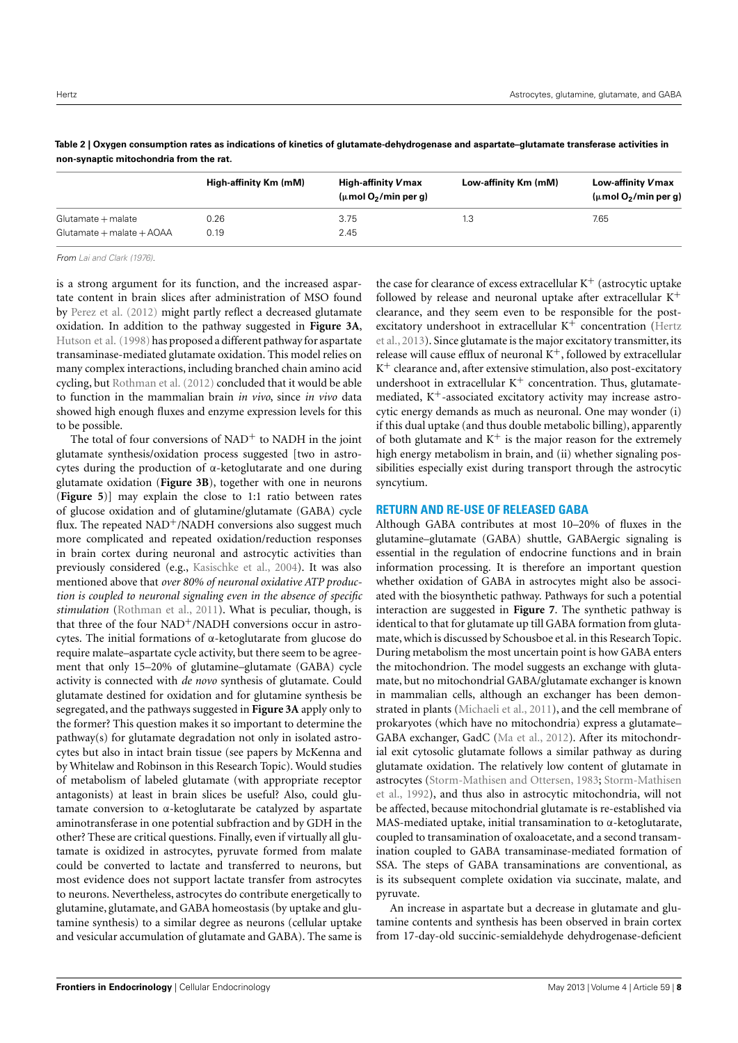|                             | High-affinity Km (mM) | High-affinity V max<br>$(\mu \text{mol } O_2/\text{min per g})$ | Low-affinity Km (mM) | Low-affinity V max<br>$(\mu \text{mol } O_2/\text{min per g})$ |
|-----------------------------|-----------------------|-----------------------------------------------------------------|----------------------|----------------------------------------------------------------|
| $Glutamate + malate$        | 0.26                  | 3.75                                                            |                      | 7.65                                                           |
| $Glutamate + malate + AOAA$ | 0.19                  | 2.45                                                            |                      |                                                                |

<span id="page-7-0"></span>**Table 2 | Oxygen consumption rates as indications of kinetics of glutamate-dehydrogenase and aspartate–glutamate transferase activities in non-synaptic mitochondria from the rat.**

From [Lai and Clark](#page-13-29) [\(1976\)](#page-13-29).

is a strong argument for its function, and the increased aspartate content in brain slices after administration of MSO found by [Perez et al.](#page-14-20) [\(2012\)](#page-14-20) might partly reflect a decreased glutamate oxidation. In addition to the pathway suggested in **[Figure 3A](#page-3-0)**, [Hutson et al.](#page-13-27) [\(1998\)](#page-13-27) has proposed a different pathway for aspartate transaminase-mediated glutamate oxidation. This model relies on many complex interactions, including branched chain amino acid cycling, but [Rothman et al.](#page-14-13) [\(2012\)](#page-14-13) concluded that it would be able to function in the mammalian brain *in vivo*, since *in vivo* data showed high enough fluxes and enzyme expression levels for this to be possible.

The total of four conversions of  $NAD<sup>+</sup>$  to  $NADH$  in the joint glutamate synthesis/oxidation process suggested [two in astrocytes during the production of α-ketoglutarate and one during glutamate oxidation (**[Figure 3B](#page-3-0)**), together with one in neurons (**[Figure 5](#page-5-0)**)] may explain the close to 1:1 ratio between rates of glucose oxidation and of glutamine/glutamate (GABA) cycle flux. The repeated  $NAD^{+}/NADH$  conversions also suggest much more complicated and repeated oxidation/reduction responses in brain cortex during neuronal and astrocytic activities than previously considered (e.g., [Kasischke et al.,](#page-13-30) [2004\)](#page-13-30). It was also mentioned above that *over 80% of neuronal oxidative ATP production is coupled to neuronal signaling even in the absence of specific stimulation* [\(Rothman et al.,](#page-14-6) [2011\)](#page-14-6). What is peculiar, though, is that three of the four NAD<sup>+</sup>/NADH conversions occur in astrocytes. The initial formations of α-ketoglutarate from glucose do require malate–aspartate cycle activity, but there seem to be agreement that only 15–20% of glutamine–glutamate (GABA) cycle activity is connected with *de novo* synthesis of glutamate. Could glutamate destined for oxidation and for glutamine synthesis be segregated, and the pathways suggested in **[Figure 3A](#page-3-0)** apply only to the former? This question makes it so important to determine the pathway(s) for glutamate degradation not only in isolated astrocytes but also in intact brain tissue (see papers by McKenna and by Whitelaw and Robinson in this Research Topic). Would studies of metabolism of labeled glutamate (with appropriate receptor antagonists) at least in brain slices be useful? Also, could glutamate conversion to α-ketoglutarate be catalyzed by aspartate aminotransferase in one potential subfraction and by GDH in the other? These are critical questions. Finally, even if virtually all glutamate is oxidized in astrocytes, pyruvate formed from malate could be converted to lactate and transferred to neurons, but most evidence does not support lactate transfer from astrocytes to neurons. Nevertheless, astrocytes do contribute energetically to glutamine, glutamate, and GABA homeostasis (by uptake and glutamine synthesis) to a similar degree as neurons (cellular uptake and vesicular accumulation of glutamate and GABA). The same is

the case for clearance of excess extracellular  $K^+$  (astrocytic uptake followed by release and neuronal uptake after extracellular  $K^+$ clearance, and they seem even to be responsible for the postexcitatory undershoot in extracellular  $K^+$  concentration [\(Hertz](#page-13-31) [et al.,](#page-13-31) [2013\)](#page-13-31). Since glutamate is the major excitatory transmitter, its release will cause efflux of neuronal  $K^+$ , followed by extracellular K <sup>+</sup> clearance and, after extensive stimulation, also post-excitatory undershoot in extracellular  $K^+$  concentration. Thus, glutamatemediated,  $K^+$ -associated excitatory activity may increase astrocytic energy demands as much as neuronal. One may wonder (i) if this dual uptake (and thus double metabolic billing), apparently of both glutamate and  $K^+$  is the major reason for the extremely high energy metabolism in brain, and (ii) whether signaling possibilities especially exist during transport through the astrocytic syncytium.

## **RETURN AND RE-USE OF RELEASED GABA**

Although GABA contributes at most 10–20% of fluxes in the glutamine–glutamate (GABA) shuttle, GABAergic signaling is essential in the regulation of endocrine functions and in brain information processing. It is therefore an important question whether oxidation of GABA in astrocytes might also be associated with the biosynthetic pathway. Pathways for such a potential interaction are suggested in **[Figure 7](#page-8-0)**. The synthetic pathway is identical to that for glutamate up till GABA formation from glutamate, which is discussed by Schousboe et al. in this Research Topic. During metabolism the most uncertain point is how GABA enters the mitochondrion. The model suggests an exchange with glutamate, but no mitochondrial GABA/glutamate exchanger is known in mammalian cells, although an exchanger has been demonstrated in plants [\(Michaeli et al.,](#page-14-28) [2011\)](#page-14-28), and the cell membrane of prokaryotes (which have no mitochondria) express a glutamate– GABA exchanger, GadC [\(Ma et al.,](#page-13-32) [2012\)](#page-13-32). After its mitochondrial exit cytosolic glutamate follows a similar pathway as during glutamate oxidation. The relatively low content of glutamate in astrocytes [\(Storm-Mathisen and Ottersen,](#page-15-19) [1983;](#page-15-19) [Storm-Mathisen](#page-15-20) [et al.,](#page-15-20) [1992\)](#page-15-20), and thus also in astrocytic mitochondria, will not be affected, because mitochondrial glutamate is re-established via MAS-mediated uptake, initial transamination to α-ketoglutarate, coupled to transamination of oxaloacetate, and a second transamination coupled to GABA transaminase-mediated formation of SSA. The steps of GABA transaminations are conventional, as is its subsequent complete oxidation via succinate, malate, and pyruvate.

An increase in aspartate but a decrease in glutamate and glutamine contents and synthesis has been observed in brain cortex from 17-day-old succinic-semialdehyde dehydrogenase-deficient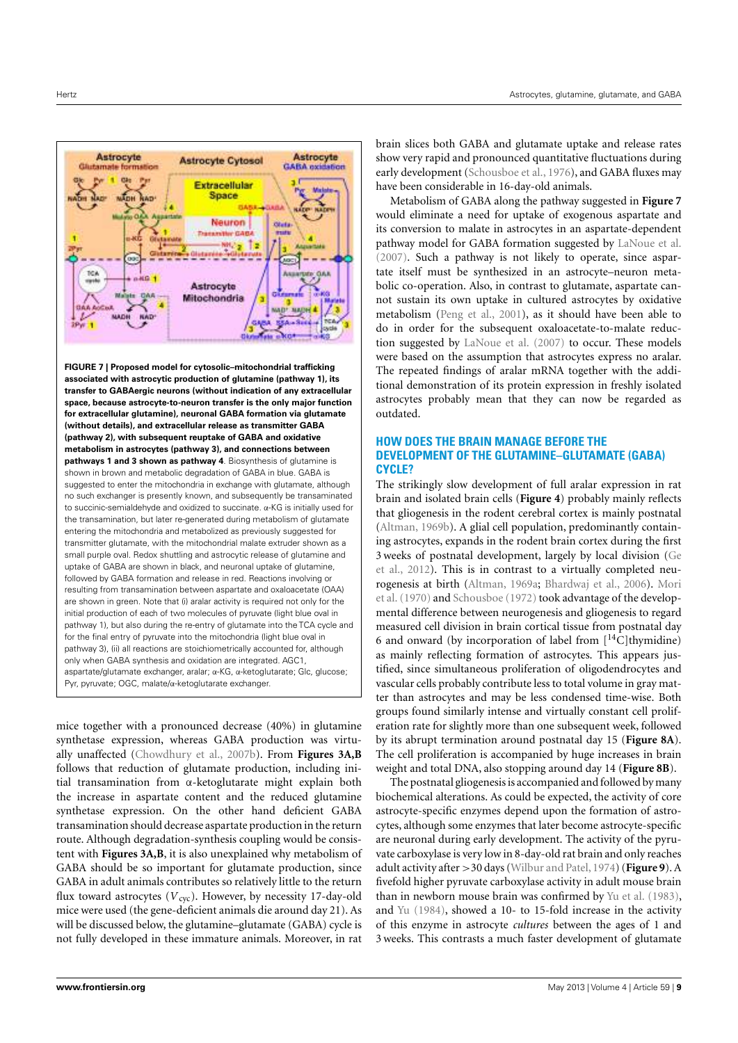

<span id="page-8-0"></span>**FIGURE 7 | Proposed model for cytosolic–mitochondrial trafficking associated with astrocytic production of glutamine (pathway 1), its transfer to GABAergic neurons (without indication of any extracellular space, because astrocyte-to-neuron transfer is the only major function for extracellular glutamine), neuronal GABA formation via glutamate (without details), and extracellular release as transmitter GABA (pathway 2), with subsequent reuptake of GABA and oxidative metabolism in astrocytes (pathway 3), and connections between pathways 1 and 3 shown as pathway 4**. Biosynthesis of glutamine is shown in brown and metabolic degradation of GABA in blue. GABA is suggested to enter the mitochondria in exchange with glutamate, although no such exchanger is presently known, and subsequently be transaminated to succinic-semialdehyde and oxidized to succinate. α-KG is initially used for the transamination, but later re-generated during metabolism of glutamate entering the mitochondria and metabolized as previously suggested for transmitter glutamate, with the mitochondrial malate extruder shown as a small purple oval. Redox shuttling and astrocytic release of glutamine and uptake of GABA are shown in black, and neuronal uptake of glutamine, followed by GABA formation and release in red. Reactions involving or resulting from transamination between aspartate and oxaloacetate (OAA) are shown in green. Note that (i) aralar activity is required not only for the initial production of each of two molecules of pyruvate (light blue oval in pathway 1), but also during the re-entry of glutamate into the TCA cycle and for the final entry of pyruvate into the mitochondria (light blue oval in pathway 3), (ii) all reactions are stoichiometrically accounted for, although only when GABA synthesis and oxidation are integrated. AGC1, aspartate/glutamate exchanger, aralar; α-KG, α-ketoglutarate; Glc, glucose; Pyr, pyruvate; OGC, malate/α-ketoglutarate exchanger.

mice together with a pronounced decrease (40%) in glutamine synthetase expression, whereas GABA production was virtually unaffected [\(Chowdhury et al.,](#page-12-25) [2007b\)](#page-12-25). From **[Figures 3A,B](#page-3-0)** follows that reduction of glutamate production, including initial transamination from α-ketoglutarate might explain both the increase in aspartate content and the reduced glutamine synthetase expression. On the other hand deficient GABA transamination should decrease aspartate production in the return route. Although degradation-synthesis coupling would be consistent with **[Figures 3A,B](#page-3-0)**, it is also unexplained why metabolism of GABA should be so important for glutamate production, since GABA in adult animals contributes so relatively little to the return flux toward astrocytes (V<sub>cvc</sub>). However, by necessity 17-day-old mice were used (the gene-deficient animals die around day 21). As will be discussed below, the glutamine–glutamate (GABA) cycle is not fully developed in these immature animals. Moreover, in rat

brain slices both GABA and glutamate uptake and release rates show very rapid and pronounced quantitative fluctuations during early development [\(Schousboe et al.,](#page-15-21) [1976\)](#page-15-21), and GABA fluxes may have been considerable in 16-day-old animals.

Metabolism of GABA along the pathway suggested in **[Figure 7](#page-8-0)** would eliminate a need for uptake of exogenous aspartate and its conversion to malate in astrocytes in an aspartate-dependent pathway model for GABA formation suggested by [LaNoue et al.](#page-13-33) [\(2007\)](#page-13-33). Such a pathway is not likely to operate, since aspartate itself must be synthesized in an astrocyte–neuron metabolic co-operation. Also, in contrast to glutamate, aspartate cannot sustain its own uptake in cultured astrocytes by oxidative metabolism [\(Peng et al.,](#page-14-29) [2001\)](#page-14-29), as it should have been able to do in order for the subsequent oxaloacetate-to-malate reduction suggested by [LaNoue et al.](#page-13-33) [\(2007\)](#page-13-33) to occur. These models were based on the assumption that astrocytes express no aralar. The repeated findings of aralar mRNA together with the additional demonstration of its protein expression in freshly isolated astrocytes probably mean that they can now be regarded as outdated.

# **HOW DOES THE BRAIN MANAGE BEFORE THE DEVELOPMENT OF THE GLUTAMINE–GLUTAMATE (GABA) CYCLE?**

The strikingly slow development of full aralar expression in rat brain and isolated brain cells (**[Figure 4](#page-4-0)**) probably mainly reflects that gliogenesis in the rodent cerebral cortex is mainly postnatal [\(Altman,](#page-12-26) [1969b\)](#page-12-26). A glial cell population, predominantly containing astrocytes, expands in the rodent brain cortex during the first 3 weeks of postnatal development, largely by local division [\(Ge](#page-13-34) [et al.,](#page-13-34) [2012\)](#page-13-34). This is in contrast to a virtually completed neurogenesis at birth [\(Altman,](#page-12-27) [1969a;](#page-12-27) [Bhardwaj et al.,](#page-12-28) [2006\)](#page-12-28). [Mori](#page-14-30) [et al.](#page-14-30) [\(1970\)](#page-14-30) and [Schousboe](#page-14-31) [\(1972\)](#page-14-31) took advantage of the developmental difference between neurogenesis and gliogenesis to regard measured cell division in brain cortical tissue from postnatal day 6 and onward (by incorporation of label from  $[{}^{14}C]$ thymidine) as mainly reflecting formation of astrocytes. This appears justified, since simultaneous proliferation of oligodendrocytes and vascular cells probably contribute less to total volume in gray matter than astrocytes and may be less condensed time-wise. Both groups found similarly intense and virtually constant cell proliferation rate for slightly more than one subsequent week, followed by its abrupt termination around postnatal day 15 (**[Figure 8A](#page-9-0)**). The cell proliferation is accompanied by huge increases in brain weight and total DNA, also stopping around day 14 (**[Figure 8B](#page-9-0)**).

The postnatal gliogenesis is accompanied and followed by many biochemical alterations. As could be expected, the activity of core astrocyte-specific enzymes depend upon the formation of astrocytes, although some enzymes that later become astrocyte-specific are neuronal during early development. The activity of the pyruvate carboxylase is very low in 8-day-old rat brain and only reaches adult activity after >30 days [\(Wilbur and Patel,](#page-15-22) [1974\)](#page-15-22) (**[Figure 9](#page-9-1)**). A fivefold higher pyruvate carboxylase activity in adult mouse brain than in newborn mouse brain was confirmed by [Yu et al.](#page-15-6) [\(1983\)](#page-15-6), and [Yu](#page-15-3) [\(1984\)](#page-15-3), showed a 10- to 15-fold increase in the activity of this enzyme in astrocyte *cultures* between the ages of 1 and 3 weeks. This contrasts a much faster development of glutamate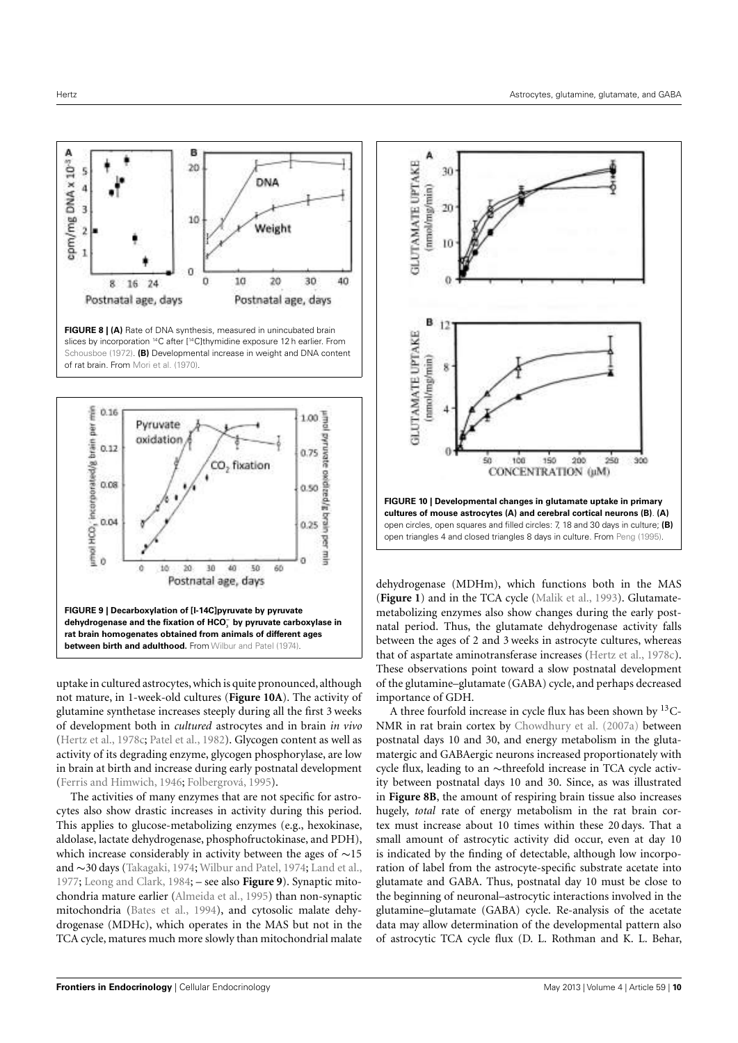<span id="page-9-0"></span>

<span id="page-9-1"></span>**FIGURE 9 | Decarboxylation of [l-14C]pyruvate by pyruvate dehydrogenase and the fixation of HCO**<sup>−</sup> **<sup>3</sup> by pyruvate carboxylase in rat brain homogenates obtained from animals of different ages between birth and adulthood.** From [Wilbur and Patel](#page-15-22) [\(1974\)](#page-15-22).

uptake in cultured astrocytes, which is quite pronounced, although not mature, in 1-week-old cultures (**[Figure 10A](#page-9-2)**). The activity of glutamine synthetase increases steeply during all the first 3 weeks of development both in *cultured* astrocytes and in brain *in vivo* [\(Hertz et al.,](#page-13-35) [1978c;](#page-13-35) [Patel et al.,](#page-14-32) [1982\)](#page-14-32). Glycogen content as well as activity of its degrading enzyme, glycogen phosphorylase, are low in brain at birth and increase during early postnatal development [\(Ferris and Himwich,](#page-12-29) [1946;](#page-12-29) [Folbergrová,](#page-12-30) [1995\)](#page-12-30).

The activities of many enzymes that are not specific for astrocytes also show drastic increases in activity during this period. This applies to glucose-metabolizing enzymes (e.g., hexokinase, aldolase, lactate dehydrogenase, phosphofructokinase, and PDH), which increase considerably in activity between the ages of ∼15 and ∼30 days [\(Takagaki,](#page-15-23) [1974;](#page-15-23) [Wilbur and Patel,](#page-15-22) [1974;](#page-15-22) [Land et al.,](#page-13-36) [1977;](#page-13-36) [Leong and Clark,](#page-13-37) [1984;](#page-13-37) – see also **[Figure 9](#page-9-1)**). Synaptic mitochondria mature earlier [\(Almeida et al.,](#page-12-31) [1995\)](#page-12-31) than non-synaptic mitochondria [\(Bates et al.,](#page-12-32) [1994\)](#page-12-32), and cytosolic malate dehydrogenase (MDHc), which operates in the MAS but not in the TCA cycle, matures much more slowly than mitochondrial malate



<span id="page-9-2"></span>dehydrogenase (MDHm), which functions both in the MAS (**[Figure 1](#page-1-0)**) and in the TCA cycle [\(Malik et al.,](#page-13-38) [1993\)](#page-13-38). Glutamatemetabolizing enzymes also show changes during the early postnatal period. Thus, the glutamate dehydrogenase activity falls between the ages of 2 and 3 weeks in astrocyte cultures, whereas that of aspartate aminotransferase increases [\(Hertz et al.,](#page-13-35) [1978c\)](#page-13-35). These observations point toward a slow postnatal development of the glutamine–glutamate (GABA) cycle, and perhaps decreased importance of GDH.

A three fourfold increase in cycle flux has been shown by  $^{13}$ C-NMR in rat brain cortex by [Chowdhury et al.](#page-12-4) [\(2007a\)](#page-12-4) between postnatal days 10 and 30, and energy metabolism in the glutamatergic and GABAergic neurons increased proportionately with cycle flux, leading to an ∼threefold increase in TCA cycle activity between postnatal days 10 and 30. Since, as was illustrated in **[Figure 8B](#page-9-0)**, the amount of respiring brain tissue also increases hugely, *total* rate of energy metabolism in the rat brain cortex must increase about 10 times within these 20 days. That a small amount of astrocytic activity did occur, even at day 10 is indicated by the finding of detectable, although low incorporation of label from the astrocyte-specific substrate acetate into glutamate and GABA. Thus, postnatal day 10 must be close to the beginning of neuronal–astrocytic interactions involved in the glutamine–glutamate (GABA) cycle. Re-analysis of the acetate data may allow determination of the developmental pattern also of astrocytic TCA cycle flux (D. L. Rothman and K. L. Behar,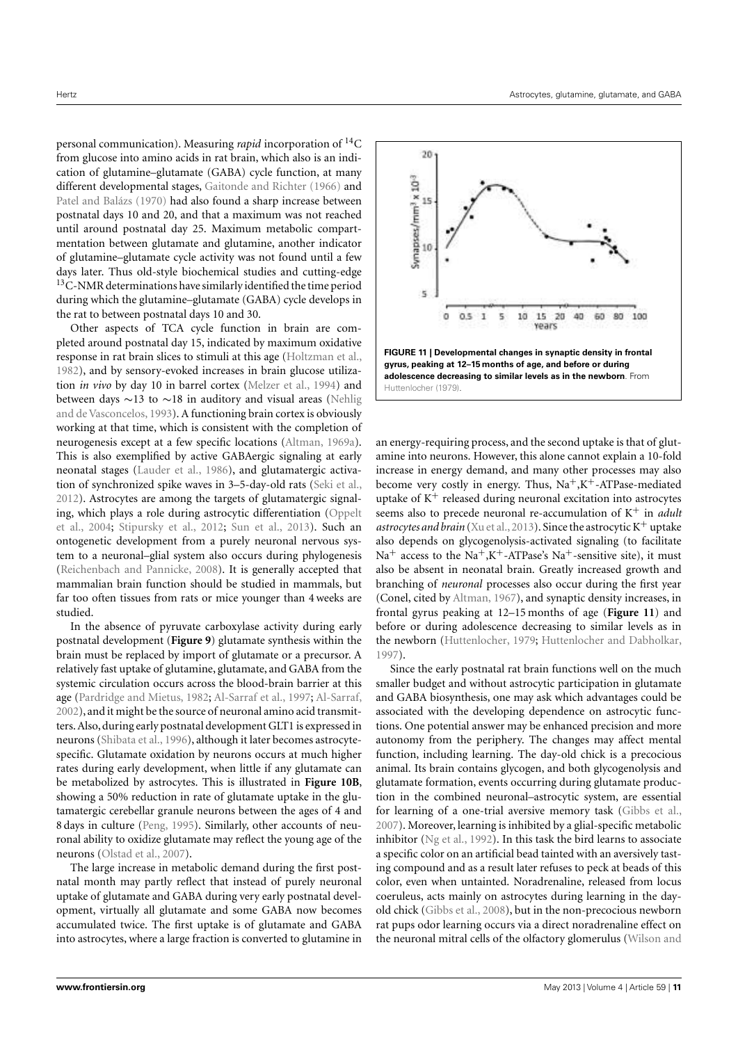personal communication). Measuring *rapid* incorporation of <sup>14</sup>C from glucose into amino acids in rat brain, which also is an indication of glutamine–glutamate (GABA) cycle function, at many different developmental stages, [Gaitonde and Richter](#page-12-33) [\(1966\)](#page-12-33) and [Patel and Balázs](#page-14-34) [\(1970\)](#page-14-34) had also found a sharp increase between postnatal days 10 and 20, and that a maximum was not reached until around postnatal day 25. Maximum metabolic compartmentation between glutamate and glutamine, another indicator of glutamine–glutamate cycle activity was not found until a few days later. Thus old-style biochemical studies and cutting-edge <sup>13</sup>C-NMR determinations have similarly identified the time period during which the glutamine–glutamate (GABA) cycle develops in

the rat to between postnatal days 10 and 30. Other aspects of TCA cycle function in brain are completed around postnatal day 15, indicated by maximum oxidative response in rat brain slices to stimuli at this age [\(Holtzman et al.,](#page-13-39) [1982\)](#page-13-39), and by sensory-evoked increases in brain glucose utilization *in vivo* by day 10 in barrel cortex [\(Melzer et al.,](#page-14-35) [1994\)](#page-14-35) and between days ∼13 to ∼18 in auditory and visual areas [\(Nehlig](#page-14-36) [and de Vasconcelos,](#page-14-36) [1993\)](#page-14-36). A functioning brain cortex is obviously working at that time, which is consistent with the completion of neurogenesis except at a few specific locations [\(Altman,](#page-12-27) [1969a\)](#page-12-27). This is also exemplified by active GABAergic signaling at early neonatal stages [\(Lauder et al.,](#page-13-40) [1986\)](#page-13-40), and glutamatergic activation of synchronized spike waves in 3–5-day-old rats [\(Seki et al.,](#page-15-24) [2012\)](#page-15-24). Astrocytes are among the targets of glutamatergic signaling, which plays a role during astrocytic differentiation [\(Oppelt](#page-14-37) [et al.,](#page-14-37) [2004;](#page-14-37) [Stipursky et al.,](#page-15-25) [2012;](#page-15-25) [Sun et al.,](#page-15-26) [2013\)](#page-15-26). Such an ontogenetic development from a purely neuronal nervous system to a neuronal–glial system also occurs during phylogenesis [\(Reichenbach and Pannicke,](#page-14-38) [2008\)](#page-14-38). It is generally accepted that mammalian brain function should be studied in mammals, but far too often tissues from rats or mice younger than 4 weeks are studied.

In the absence of pyruvate carboxylase activity during early postnatal development (**[Figure 9](#page-9-1)**) glutamate synthesis within the brain must be replaced by import of glutamate or a precursor. A relatively fast uptake of glutamine, glutamate, and GABA from the systemic circulation occurs across the blood-brain barrier at this age [\(Pardridge and Mietus,](#page-14-39) [1982;](#page-14-39) [Al-Sarraf et al.,](#page-12-34) [1997;](#page-12-34) [Al-Sarraf,](#page-12-35) [2002\)](#page-12-35), and it might be the source of neuronal amino acid transmitters. Also, during early postnatal development GLT1 is expressed in neurons [\(Shibata et al.,](#page-15-27) [1996\)](#page-15-27), although it later becomes astrocytespecific. Glutamate oxidation by neurons occurs at much higher rates during early development, when little if any glutamate can be metabolized by astrocytes. This is illustrated in **[Figure 10B](#page-9-2)**, showing a 50% reduction in rate of glutamate uptake in the glutamatergic cerebellar granule neurons between the ages of 4 and 8 days in culture [\(Peng,](#page-14-33) [1995\)](#page-14-33). Similarly, other accounts of neuronal ability to oxidize glutamate may reflect the young age of the neurons [\(Olstad et al.,](#page-14-40) [2007\)](#page-14-40).

The large increase in metabolic demand during the first postnatal month may partly reflect that instead of purely neuronal uptake of glutamate and GABA during very early postnatal development, virtually all glutamate and some GABA now becomes accumulated twice. The first uptake is of glutamate and GABA into astrocytes, where a large fraction is converted to glutamine in



<span id="page-10-0"></span>an energy-requiring process, and the second uptake is that of glutamine into neurons. However, this alone cannot explain a 10-fold increase in energy demand, and many other processes may also become very costly in energy. Thus,  $Na^+, K^+$ -ATPase-mediated uptake of  $K^+$  released during neuronal excitation into astrocytes seems also to precede neuronal re-accumulation of K<sup>+</sup> in *adult astrocytes and brain* (Xu et al., 2013). Since the astrocytic  $K^+$  uptake also depends on glycogenolysis-activated signaling (to facilitate  $Na<sup>+</sup>$  access to the Na<sup>+</sup>,K<sup>+</sup>-ATPase's Na<sup>+</sup>-sensitive site), it must also be absent in neonatal brain. Greatly increased growth and branching of *neuronal* processes also occur during the first year (Conel, cited by [Altman,](#page-12-36) [1967\)](#page-12-36), and synaptic density increases, in frontal gyrus peaking at 12–15 months of age (**[Figure 11](#page-10-0)**) and before or during adolescence decreasing to similar levels as in the newborn [\(Huttenlocher,](#page-13-41) [1979;](#page-13-41) [Huttenlocher and Dabholkar,](#page-13-42) [1997\)](#page-13-42).

Since the early postnatal rat brain functions well on the much smaller budget and without astrocytic participation in glutamate and GABA biosynthesis, one may ask which advantages could be associated with the developing dependence on astrocytic functions. One potential answer may be enhanced precision and more autonomy from the periphery. The changes may affect mental function, including learning. The day-old chick is a precocious animal. Its brain contains glycogen, and both glycogenolysis and glutamate formation, events occurring during glutamate production in the combined neuronal–astrocytic system, are essential for learning of a one-trial aversive memory task [\(Gibbs et al.,](#page-13-13) [2007\)](#page-13-13). Moreover, learning is inhibited by a glial-specific metabolic inhibitor [\(Ng et al.,](#page-14-41) [1992\)](#page-14-41). In this task the bird learns to associate a specific color on an artificial bead tainted with an aversively tasting compound and as a result later refuses to peck at beads of this color, even when untainted. Noradrenaline, released from locus coeruleus, acts mainly on astrocytes during learning in the dayold chick [\(Gibbs et al.,](#page-13-43) [2008\)](#page-13-43), but in the non-precocious newborn rat pups odor learning occurs via a direct noradrenaline effect on the neuronal mitral cells of the olfactory glomerulus [\(Wilson and](#page-15-28)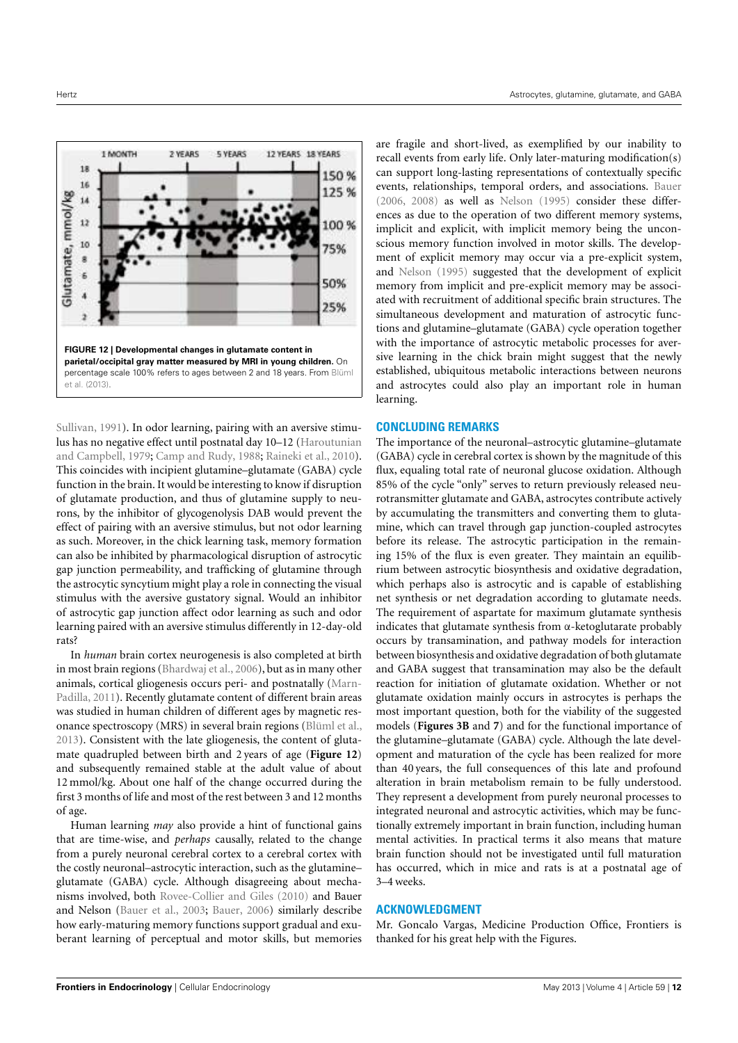

<span id="page-11-0"></span>[Sullivan,](#page-15-28) [1991\)](#page-15-28). In odor learning, pairing with an aversive stimulus has no negative effect until postnatal day 10–12 [\(Haroutunian](#page-13-44) [and Campbell,](#page-13-44) [1979;](#page-13-44) [Camp and Rudy,](#page-12-38) [1988;](#page-12-38) [Raineki et al.,](#page-14-42) [2010\)](#page-14-42). This coincides with incipient glutamine–glutamate (GABA) cycle function in the brain. It would be interesting to know if disruption of glutamate production, and thus of glutamine supply to neurons, by the inhibitor of glycogenolysis DAB would prevent the effect of pairing with an aversive stimulus, but not odor learning as such. Moreover, in the chick learning task, memory formation can also be inhibited by pharmacological disruption of astrocytic gap junction permeability, and trafficking of glutamine through the astrocytic syncytium might play a role in connecting the visual stimulus with the aversive gustatory signal. Would an inhibitor of astrocytic gap junction affect odor learning as such and odor learning paired with an aversive stimulus differently in 12-day-old rats?

In *human* brain cortex neurogenesis is also completed at birth in most brain regions [\(Bhardwaj et al.,](#page-12-28) [2006\)](#page-12-28), but as in many other animals, cortical gliogenesis occurs peri- and postnatally [\(Marn-](#page-14-43)[Padilla,](#page-14-43) [2011\)](#page-14-43). Recently glutamate content of different brain areas was studied in human children of different ages by magnetic resonance spectroscopy (MRS) in several brain regions [\(Blüml et al.,](#page-12-37) [2013\)](#page-12-37). Consistent with the late gliogenesis, the content of glutamate quadrupled between birth and 2 years of age (**[Figure 12](#page-11-0)**) and subsequently remained stable at the adult value of about 12 mmol/kg. About one half of the change occurred during the first 3 months of life and most of the rest between 3 and 12 months of age.

Human learning *may* also provide a hint of functional gains that are time-wise, and *perhaps* causally, related to the change from a purely neuronal cerebral cortex to a cerebral cortex with the costly neuronal–astrocytic interaction, such as the glutamine– glutamate (GABA) cycle. Although disagreeing about mechanisms involved, both [Rovee-Collier and Giles](#page-14-44) [\(2010\)](#page-14-44) and Bauer and Nelson [\(Bauer et al.,](#page-12-39) [2003;](#page-12-39) [Bauer,](#page-12-40) [2006\)](#page-12-40) similarly describe how early-maturing memory functions support gradual and exuberant learning of perceptual and motor skills, but memories

are fragile and short-lived, as exemplified by our inability to recall events from early life. Only later-maturing modification(s) can support long-lasting representations of contextually specific events, relationships, temporal orders, and associations. [Bauer](#page-12-40) [\(2006,](#page-12-40) [2008\)](#page-12-41) as well as [Nelson](#page-14-45) [\(1995\)](#page-14-45) consider these differences as due to the operation of two different memory systems, implicit and explicit, with implicit memory being the unconscious memory function involved in motor skills. The development of explicit memory may occur via a pre-explicit system, and [Nelson](#page-14-45) [\(1995\)](#page-14-45) suggested that the development of explicit memory from implicit and pre-explicit memory may be associated with recruitment of additional specific brain structures. The simultaneous development and maturation of astrocytic functions and glutamine–glutamate (GABA) cycle operation together with the importance of astrocytic metabolic processes for aversive learning in the chick brain might suggest that the newly established, ubiquitous metabolic interactions between neurons and astrocytes could also play an important role in human learning.

### **CONCLUDING REMARKS**

The importance of the neuronal–astrocytic glutamine–glutamate (GABA) cycle in cerebral cortex is shown by the magnitude of this flux, equaling total rate of neuronal glucose oxidation. Although 85% of the cycle "only" serves to return previously released neurotransmitter glutamate and GABA, astrocytes contribute actively by accumulating the transmitters and converting them to glutamine, which can travel through gap junction-coupled astrocytes before its release. The astrocytic participation in the remaining 15% of the flux is even greater. They maintain an equilibrium between astrocytic biosynthesis and oxidative degradation, which perhaps also is astrocytic and is capable of establishing net synthesis or net degradation according to glutamate needs. The requirement of aspartate for maximum glutamate synthesis indicates that glutamate synthesis from α-ketoglutarate probably occurs by transamination, and pathway models for interaction between biosynthesis and oxidative degradation of both glutamate and GABA suggest that transamination may also be the default reaction for initiation of glutamate oxidation. Whether or not glutamate oxidation mainly occurs in astrocytes is perhaps the most important question, both for the viability of the suggested models (**[Figures 3B](#page-3-0)** and **[7](#page-8-0)**) and for the functional importance of the glutamine–glutamate (GABA) cycle. Although the late development and maturation of the cycle has been realized for more than 40 years, the full consequences of this late and profound alteration in brain metabolism remain to be fully understood. They represent a development from purely neuronal processes to integrated neuronal and astrocytic activities, which may be functionally extremely important in brain function, including human mental activities. In practical terms it also means that mature brain function should not be investigated until full maturation has occurred, which in mice and rats is at a postnatal age of 3–4 weeks.

## **ACKNOWLEDGMENT**

Mr. Goncalo Vargas, Medicine Production Office, Frontiers is thanked for his great help with the Figures.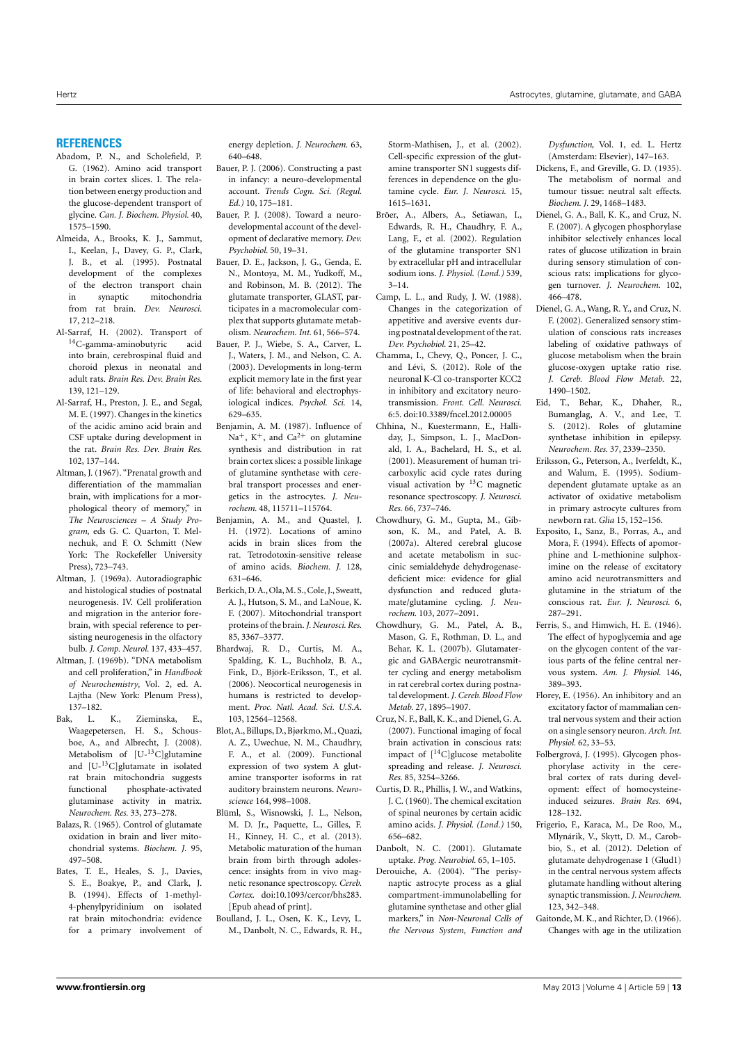# **REFERENCES**

- <span id="page-12-19"></span>Abadom, P. N., and Scholefield, P. G. (1962). Amino acid transport in brain cortex slices. I. The relation between energy production and the glucose-dependent transport of glycine. *Can. J. Biochem. Physiol.* 40, 1575–1590.
- <span id="page-12-31"></span>Almeida, A., Brooks, K. J., Sammut, I., Keelan, J., Davey, G. P., Clark, J. B., et al. (1995). Postnatal development of the complexes of the electron transport chain in synaptic mitochondria from rat brain. *Dev. Neurosci.* 17, 212–218.
- <span id="page-12-35"></span>Al-Sarraf, H. (2002). Transport of <sup>14</sup>C-gamma-aminobutyric acid into brain, cerebrospinal fluid and choroid plexus in neonatal and adult rats. *Brain Res. Dev. Brain Res.* 139, 121–129.
- <span id="page-12-34"></span>Al-Sarraf, H., Preston, J. E., and Segal, M. E. (1997). Changes in the kinetics of the acidic amino acid brain and CSF uptake during development in the rat. *Brain Res. Dev. Brain Res.* 102, 137–144.
- <span id="page-12-36"></span>Altman, J. (1967). "Prenatal growth and differentiation of the mammalian brain, with implications for a morphological theory of memory," in *The Neurosciences – A Study Program*, eds G. C. Quarton, T. Melnechuk, and F. O. Schmitt (New York: The Rockefeller University Press), 723–743.
- <span id="page-12-27"></span>Altman, J. (1969a). Autoradiographic and histological studies of postnatal neurogenesis. IV. Cell proliferation and migration in the anterior forebrain, with special reference to persisting neurogenesis in the olfactory bulb. *J. Comp. Neurol.* 137, 433–457.
- <span id="page-12-26"></span>Altman, J. (1969b). "DNA metabolism and cell proliferation," in *Handbook of Neurochemistry*, Vol. 2, ed. A. Lajtha (New York: Plenum Press), 137–182.
- <span id="page-12-15"></span>Bak, L. K., Zieminska, E., Waagepetersen, H. S., Schousboe, A., and Albrecht, J. (2008). Metabolism of  $[U^{-13}C]$ glutamine and [U-13C]glutamate in isolated rat brain mitochondria suggests functional phosphate-activated glutaminase activity in matrix. *Neurochem. Res.* 33, 273–278.
- <span id="page-12-22"></span>Balazs, R. (1965). Control of glutamate oxidation in brain and liver mitochondrial systems. *Biochem. J.* 95, 497–508.
- <span id="page-12-32"></span>Bates, T. E., Heales, S. J., Davies, S. E., Boakye, P., and Clark, J. B. (1994). Effects of 1-methyl-4-phenylpyridinium on isolated rat brain mitochondria: evidence for a primary involvement of

energy depletion. *J. Neurochem.* 63, 640–648.

- <span id="page-12-40"></span>Bauer, P. J. (2006). Constructing a past in infancy: a neuro-developmental account. *Trends Cogn. Sci. (Regul. Ed.)* 10, 175–181.
- <span id="page-12-41"></span>Bauer, P. J. (2008). Toward a neurodevelopmental account of the development of declarative memory. *Dev. Psychobiol*. 50, 19–31.
- <span id="page-12-3"></span>Bauer, D. E., Jackson, J. G., Genda, E. N., Montoya, M. M., Yudkoff, M., and Robinson, M. B. (2012). The glutamate transporter, GLAST, participates in a macromolecular complex that supports glutamate metabolism. *Neurochem. Int.* 61, 566–574.
- <span id="page-12-39"></span>Bauer, P. J., Wiebe, S. A., Carver, L. J., Waters, J. M., and Nelson, C. A. (2003). Developments in long-term explicit memory late in the first year of life: behavioral and electrophysiological indices. *Psychol. Sci.* 14, 629–635.
- <span id="page-12-16"></span>Benjamin, A. M. (1987). Influence of  $Na<sup>+</sup>$ , K<sup>+</sup>, and Ca<sup>2+</sup> on glutamine synthesis and distribution in rat brain cortex slices: a possible linkage of glutamine synthetase with cerebral transport processes and energetics in the astrocytes. *J. Neurochem.* 48, 115711–115764.
- <span id="page-12-2"></span>Benjamin, A. M., and Quastel, J. H. (1972). Locations of amino acids in brain slices from the rat. Tetrodotoxin-sensitive release of amino acids. *Biochem. J.* 128, 631–646.
- <span id="page-12-10"></span>Berkich,D. A.,Ola,M. S.,Cole,J.,Sweatt, A. J., Hutson, S. M., and LaNoue, K. F. (2007). Mitochondrial transport proteins of the brain.*J. Neurosci. Res.* 85, 3367–3377.
- <span id="page-12-28"></span>Bhardwaj, R. D., Curtis, M. A., Spalding, K. L., Buchholz, B. A., Fink, D., Björk-Eriksson, T., et al. (2006). Neocortical neurogenesis in humans is restricted to development. *Proc. Natl. Acad. Sci. U.S.A.* 103, 12564–12568.
- <span id="page-12-14"></span>Blot,A., Billups, D., Bjørkmo, M., Quazi, A. Z., Uwechue, N. M., Chaudhry, F. A., et al. (2009). Functional expression of two system A glutamine transporter isoforms in rat auditory brainstem neurons. *Neuroscience* 164, 998–1008.
- <span id="page-12-37"></span>Blüml, S., Wisnowski, J. L., Nelson, M. D. Jr., Paquette, L., Gilles, F. H., Kinney, H. C., et al. (2013). Metabolic maturation of the human brain from birth through adolescence: insights from in vivo magnetic resonance spectroscopy. *Cereb. Cortex*. doi[:10.1093/cercor/bhs283.](http://dx.doi.org/10.1093/cercor/bhs283) [Epub ahead of print].
- <span id="page-12-12"></span>Boulland, J. L., Osen, K. K., Levy, L. M., Danbolt, N. C., Edwards, R. H.,

Storm-Mathisen, J., et al. (2002). Cell-specific expression of the glutamine transporter SN1 suggests differences in dependence on the glutamine cycle. *Eur. J. Neurosci.* 15, 1615–1631.

- <span id="page-12-13"></span>Bröer, A., Albers, A., Setiawan, I., Edwards, R. H., Chaudhry, F. A., Lang, F., et al. (2002). Regulation of the glutamine transporter SN1 by extracellular pH and intracellular sodium ions. *J. Physiol. (Lond.)* 539, 3–14.
- <span id="page-12-38"></span>Camp, L. L., and Rudy, J. W. (1988). Changes in the categorization of appetitive and aversive events during postnatal development of the rat. *Dev. Psychobiol.* 21, 25–42.
- <span id="page-12-17"></span>Chamma, I., Chevy, Q., Poncer, J. C., and Lévi, S. (2012). Role of the neuronal K-Cl co-transporter KCC2 in inhibitory and excitatory neurotransmission. *Front. Cell. Neurosci.* 6:5. doi[:10.3389/fncel.2012.00005](http://dx.doi.org/10.3389/fncel.2012.00005)
- <span id="page-12-9"></span>Chhina, N., Kuestermann, E., Halliday, J., Simpson, L. J., MacDonald, I. A., Bachelard, H. S., et al. (2001). Measurement of human tricarboxylic acid cycle rates during visual activation by <sup>13</sup>C magnetic resonance spectroscopy. *J. Neurosci. Res.* 66, 737–746.
- <span id="page-12-4"></span>Chowdhury, G. M., Gupta, M., Gibson, K. M., and Patel, A. B. (2007a). Altered cerebral glucose and acetate metabolism in succinic semialdehyde dehydrogenasedeficient mice: evidence for glial dysfunction and reduced glutamate/glutamine cycling. *J. Neurochem.* 103, 2077–2091.
- <span id="page-12-25"></span>Chowdhury, G. M., Patel, A. B., Mason, G. F., Rothman, D. L., and Behar, K. L. (2007b). Glutamatergic and GABAergic neurotransmitter cycling and energy metabolism in rat cerebral cortex during postnatal development. *J. Cereb. Blood Flow Metab.* 27, 1895–1907.
- <span id="page-12-11"></span>Cruz, N. F., Ball, K. K., and Dienel, G. A. (2007). Functional imaging of focal brain activation in conscious rats: impact of  $[$ <sup>14</sup>C]glucose metabolite spreading and release. *J. Neurosci. Res.* 85, 3254–3266.
- <span id="page-12-1"></span>Curtis, D. R., Phillis, J. W., and Watkins, J. C. (1960). The chemical excitation of spinal neurones by certain acidic amino acids. *J. Physiol. (Lond.)* 150, 656–682.
- <span id="page-12-5"></span>Danbolt, N. C. (2001). Glutamate uptake. *Prog. Neurobiol.* 65, 1–105.
- <span id="page-12-6"></span>Derouiche, A. (2004). "The perisynaptic astrocyte process as a glial compartment-immunolabelling for glutamine synthetase and other glial markers," in *Non-Neuronal Cells of the Nervous System, Function and*

*Dysfunction*, Vol. 1, ed. L. Hertz (Amsterdam: Elsevier), 147–163.

- <span id="page-12-18"></span>Dickens, F., and Greville, G. D. (1935). The metabolism of normal and tumour tissue: neutral salt effects. *Biochem. J.* 29, 1468–1483.
- <span id="page-12-8"></span>Dienel, G. A., Ball, K. K., and Cruz, N. F. (2007). A glycogen phosphorylase inhibitor selectively enhances local rates of glucose utilization in brain during sensory stimulation of conscious rats: implications for glycogen turnover. *J. Neurochem*. 102, 466–478.
- <span id="page-12-7"></span>Dienel, G. A., Wang, R. Y., and Cruz, N. F. (2002). Generalized sensory stimulation of conscious rats increases labeling of oxidative pathways of glucose metabolism when the brain glucose-oxygen uptake ratio rise. *J. Cereb. Blood Flow Metab.* 22, 1490–1502.
- <span id="page-12-23"></span>Eid, T., Behar, K., Dhaher, R., Bumanglag, A. V., and Lee, T. S. (2012). Roles of glutamine synthetase inhibition in epilepsy. *Neurochem. Res.* 37, 2339–2350.
- <span id="page-12-20"></span>Eriksson, G., Peterson, A., Iverfeldt, K., and Walum, E. (1995). Sodiumdependent glutamate uptake as an activator of oxidative metabolism in primary astrocyte cultures from newborn rat. *Glia* 15, 152–156.
- <span id="page-12-24"></span>Exposito, I., Sanz, B., Porras, A., and Mora, F. (1994). Effects of apomorphine and L-methionine sulphoximine on the release of excitatory amino acid neurotransmitters and glutamine in the striatum of the conscious rat. *Eur. J. Neurosci.* 6, 287–291.
- <span id="page-12-29"></span>Ferris, S., and Himwich, H. E. (1946). The effect of hypoglycemia and age on the glycogen content of the various parts of the feline central nervous system. *Am. J. Physiol.* 146, 389–393.
- <span id="page-12-0"></span>Florey, E. (1956). An inhibitory and an excitatory factor of mammalian central nervous system and their action on a single sensory neuron.*Arch. Int. Physiol.* 62, 33–53.
- <span id="page-12-30"></span>Folbergrová, J. (1995). Glycogen phosphorylase activity in the cerebral cortex of rats during development: effect of homocysteineinduced seizures. *Brain Res.* 694, 128–132.
- <span id="page-12-21"></span>Frigerio, F., Karaca, M., De Roo, M., Mlynárik, V., Skytt, D. M., Carobbio, S., et al. (2012). Deletion of glutamate dehydrogenase 1 (Glud1) in the central nervous system affects glutamate handling without altering synaptic transmission.*J. Neurochem.* 123, 342–348.
- <span id="page-12-33"></span>Gaitonde, M. K., and Richter, D. (1966). Changes with age in the utilization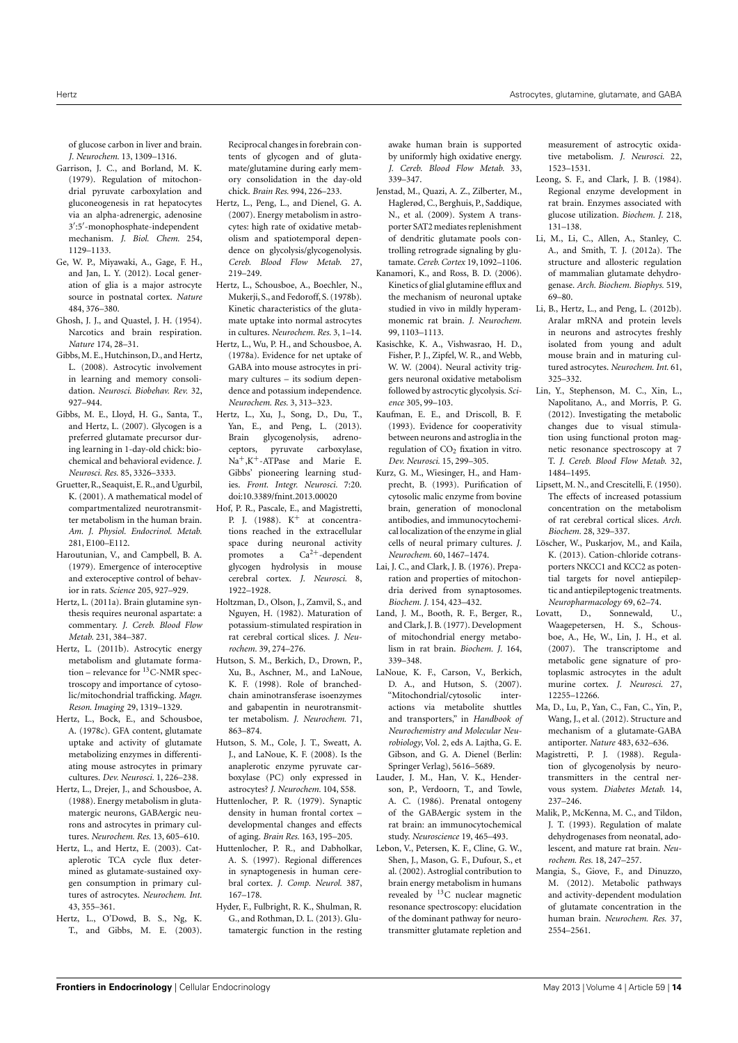of glucose carbon in liver and brain. *J. Neurochem.* 13, 1309–1316.

- <span id="page-13-20"></span>Garrison, J. C., and Borland, M. K. (1979). Regulation of mitochondrial pyruvate carboxylation and gluconeogenesis in rat hepatocytes via an alpha-adrenergic, adenosine 3':5'-monophosphate-independent mechanism. *J. Biol. Chem.* 254, 1129–1133.
- <span id="page-13-34"></span>Ge, W. P., Miyawaki, A., Gage, F. H., and Jan, L. Y. (2012). Local generation of glia is a major astrocyte source in postnatal cortex. *Nature* 484, 376–380.
- <span id="page-13-25"></span>Ghosh, J. J., and Quastel, J. H. (1954). Narcotics and brain respiration. *Nature* 174, 28–31.
- <span id="page-13-43"></span>Gibbs, M. E., Hutchinson, D., and Hertz, L. (2008). Astrocytic involvement in learning and memory consolidation. *Neurosci. Biobehav. Rev.* 32, 927–944.
- <span id="page-13-13"></span>Gibbs, M. E., Lloyd, H. G., Santa, T., and Hertz, L. (2007). Glycogen is a preferred glutamate precursor during learning in 1-day-old chick: biochemical and behavioral evidence. *J. Neurosci. Res.* 85, 3326–3333.
- <span id="page-13-14"></span>Gruetter, R., Seaquist, E. R., and Ugurbil, K. (2001). A mathematical model of compartmentalized neurotransmitter metabolism in the human brain. *Am. J. Physiol. Endocrinol. Metab.* 281, E100–E112.
- <span id="page-13-44"></span>Haroutunian, V., and Campbell, B. A. (1979). Emergence of interoceptive and exteroceptive control of behavior in rats. *Science* 205, 927–929.
- <span id="page-13-2"></span>Hertz, L. (2011a). Brain glutamine synthesis requires neuronal aspartate: a commentary. *J. Cereb. Blood Flow Metab.* 231, 384–387.
- <span id="page-13-16"></span>Hertz, L. (2011b). Astrocytic energy metabolism and glutamate formation – relevance for <sup>13</sup>C-NMR spectroscopy and importance of cytosolic/mitochondrial trafficking. *Magn. Reson. Imaging* 29, 1319–1329.
- <span id="page-13-35"></span>Hertz, L., Bock, E., and Schousboe, A. (1978c). GFA content, glutamate uptake and activity of glutamate metabolizing enzymes in differentiating mouse astrocytes in primary cultures. *Dev. Neurosci.* 1, 226–238.
- <span id="page-13-5"></span>Hertz, L., Drejer, J., and Schousboe, A. (1988). Energy metabolism in glutamatergic neurons, GABAergic neurons and astrocytes in primary cultures. *Neurochem. Res.* 13, 605–610.
- <span id="page-13-26"></span>Hertz, L., and Hertz, E. (2003). Cataplerotic TCA cycle flux determined as glutamate-sustained oxygen consumption in primary cultures of astrocytes. *Neurochem. Int.* 43, 355–361.
- <span id="page-13-7"></span>Hertz, L., O'Dowd, B. S., Ng, K. T., and Gibbs, M. E. (2003).

Reciprocal changes in forebrain contents of glycogen and of glutamate/glutamine during early memory consolidation in the day-old chick. *Brain Res.* 994, 226–233.

- <span id="page-13-3"></span>Hertz, L., Peng, L., and Dienel, G. A. (2007). Energy metabolism in astrocytes: high rate of oxidative metabolism and spatiotemporal dependence on glycolysis/glycogenolysis. *Cereb. Blood Flow Metab*. 27, 219–249.
- <span id="page-13-1"></span>Hertz, L., Schousboe, A., Boechler, N., Mukerji, S., and Fedoroff, S. (1978b). Kinetic characteristics of the glutamate uptake into normal astrocytes in cultures. *Neurochem. Res.* 3, 1–14.
- <span id="page-13-0"></span>Hertz, L., Wu, P. H., and Schousboe, A. (1978a). Evidence for net uptake of GABA into mouse astrocytes in primary cultures – its sodium dependence and potassium independence. *Neurochem. Res.* 3, 313–323.
- <span id="page-13-31"></span>Hertz, L., Xu, J., Song, D., Du, T., Yan, E., and Peng, L. (2013). Brain glycogenolysis, adrenoceptors, pyruvate carboxylase, Na+,K+-ATPase and Marie E. Gibbs' pioneering learning studies. *Front. Integr. Neurosci.* 7:20. doi[:10.3389/fnint.2013.00020](http://dx.doi.org/10.3389/fnint.2013.00020)
- <span id="page-13-8"></span>Hof, P. R., Pascale, E., and Magistretti, P. J. (1988).  $K^+$  at concentrations reached in the extracellular space during neuronal activity promotes a  $Ca^{2+}$ -dependent glycogen hydrolysis in mouse cerebral cortex. *J. Neurosci.* 8, 1922–1928.
- <span id="page-13-39"></span>Holtzman, D., Olson, J., Zamvil, S., and Nguyen, H. (1982). Maturation of potassium-stimulated respiration in rat cerebral cortical slices. *J. Neurochem.* 39, 274–276.
- <span id="page-13-27"></span>Hutson, S. M., Berkich, D., Drown, P., Xu, B., Aschner, M., and LaNoue, K. F. (1998). Role of branchedchain aminotransferase isoenzymes and gabapentin in neurotransmitter metabolism. *J. Neurochem.* 71, 863–874.
- <span id="page-13-6"></span>Hutson, S. M., Cole, J. T., Sweatt, A. J., and LaNoue, K. F. (2008). Is the anaplerotic enzyme pyruvate carboxylase (PC) only expressed in astrocytes? *J. Neurochem.* 104, S58.
- <span id="page-13-41"></span>Huttenlocher, P. R. (1979). Synaptic density in human frontal cortex – developmental changes and effects of aging. *Brain Res.* 163, 195–205.
- <span id="page-13-42"></span>Huttenlocher, P. R., and Dabholkar, A. S. (1997). Regional differences in synaptogenesis in human cerebral cortex. *J. Comp. Neurol.* 387, 167–178.
- <span id="page-13-10"></span>Hyder, F., Fulbright, R. K., Shulman, R. G., and Rothman, D. L. (2013). Glutamatergic function in the resting

awake human brain is supported by uniformly high oxidative energy. *J. Cereb. Blood Flow Metab.* 33, 339–347.

- <span id="page-13-22"></span>Jenstad, M., Quazi, A. Z., Zilberter, M., Haglerød, C., Berghuis, P., Saddique, N., et al. (2009). System A transporter SAT2 mediates replenishment of dendritic glutamate pools controlling retrograde signaling by glutamate.*Cereb. Cortex* 19,1092–1106.
- <span id="page-13-21"></span>Kanamori, K., and Ross, B. D. (2006). Kinetics of glial glutamine efflux and the mechanism of neuronal uptake studied in vivo in mildly hyperammonemic rat brain. *J. Neurochem.* 99, 1103–1113.
- <span id="page-13-30"></span>Kasischke, K. A., Vishwasrao, H. D., Fisher, P. J., Zipfel, W. R., and Webb, W. W. (2004). Neural activity triggers neuronal oxidative metabolism followed by astrocytic glycolysis. *Science* 305, 99–103.
- <span id="page-13-19"></span>Kaufman, E. E., and Driscoll, B. F. (1993). Evidence for cooperativity between neurons and astroglia in the regulation of CO<sub>2</sub> fixation in vitro. *Dev. Neurosci.* 15, 299–305.
- <span id="page-13-4"></span>Kurz, G. M., Wiesinger, H., and Hamprecht, B. (1993). Purification of cytosolic malic enzyme from bovine brain, generation of monoclonal antibodies, and immunocytochemical localization of the enzyme in glial cells of neural primary cultures. *J. Neurochem.* 60, 1467–1474.
- <span id="page-13-29"></span>Lai, J. C., and Clark, J. B. (1976). Preparation and properties of mitochondria derived from synaptosomes. *Biochem. J.* 154, 423–432.
- <span id="page-13-36"></span>Land, J. M., Booth, R. F., Berger, R., and Clark, J. B. (1977). Development of mitochondrial energy metabolism in rat brain. *Biochem. J.* 164, 339–348.
- <span id="page-13-33"></span>LaNoue, K. F., Carson, V., Berkich, D. A., and Hutson, S. (2007). "Mitochondrial/cytosolic interactions via metabolite shuttles and transporters," in *Handbook of Neurochemistry and Molecular Neurobiology*, Vol. 2, eds A. Lajtha, G. E. Gibson, and G. A. Dienel (Berlin: Springer Verlag), 5616–5689.
- <span id="page-13-40"></span>Lauder, J. M., Han, V. K., Henderson, P., Verdoorn, T., and Towle, A. C. (1986). Prenatal ontogeny of the GABAergic system in the rat brain: an immunocytochemical study. *Neuroscience* 19, 465–493.
- <span id="page-13-15"></span>Lebon, V., Petersen, K. F., Cline, G. W., Shen, J., Mason, G. F., Dufour, S., et al. (2002). Astroglial contribution to brain energy metabolism in humans revealed by <sup>13</sup>C nuclear magnetic resonance spectroscopy: elucidation of the dominant pathway for neurotransmitter glutamate repletion and

measurement of astrocytic oxidative metabolism. *J. Neurosci.* 22, 1523–1531.

- <span id="page-13-37"></span>Leong, S. F., and Clark, J. B. (1984). Regional enzyme development in rat brain. Enzymes associated with glucose utilization. *Biochem. J.* 218, 131–138.
- <span id="page-13-28"></span>Li, M., Li, C., Allen, A., Stanley, C. A., and Smith, T. J. (2012a). The structure and allosteric regulation of mammalian glutamate dehydrogenase. *Arch. Biochem. Biophys.* 519, 69–80.
- <span id="page-13-18"></span>Li, B., Hertz, L., and Peng, L. (2012b). Aralar mRNA and protein levels in neurons and astrocytes freshly isolated from young and adult mouse brain and in maturing cultured astrocytes. *Neurochem. Int.* 61, 325–332.
- <span id="page-13-11"></span>Lin, Y., Stephenson, M. C., Xin, L., Napolitano, A., and Morris, P. G. (2012). Investigating the metabolic changes due to visual stimulation using functional proton magnetic resonance spectroscopy at 7 T. *J. Cereb. Blood Flow Metab.* 32, 1484–1495.
- <span id="page-13-24"></span>Lipsett, M. N., and Crescitelli, F. (1950). The effects of increased potassium concentration on the metabolism of rat cerebral cortical slices. *Arch. Biochem.* 28, 329–337.
- <span id="page-13-23"></span>Löscher, W., Puskarjov, M., and Kaila, K. (2013). Cation-chloride cotransporters NKCC1 and KCC2 as potential targets for novel antiepileptic and antiepileptogenic treatments. *Neuropharmacology* 69, 62–74.
- <span id="page-13-17"></span>Lovatt, D., Sonnewald, U., Waagepetersen, H. S., Schousboe, A., He, W., Lin, J. H., et al. (2007). The transcriptome and metabolic gene signature of protoplasmic astrocytes in the adult murine cortex. *J. Neurosci.* 27, 12255–12266.
- <span id="page-13-32"></span>Ma, D., Lu, P., Yan, C., Fan, C., Yin, P., Wang, J., et al. (2012). Structure and mechanism of a glutamate-GABA antiporter. *Nature* 483, 632–636.
- <span id="page-13-9"></span>Magistretti, P. J. (1988). Regulation of glycogenolysis by neurotransmitters in the central nervous system. *Diabetes Metab.* 14, 237–246.
- <span id="page-13-38"></span>Malik, P., McKenna, M. C., and Tildon, J. T. (1993). Regulation of malate dehydrogenases from neonatal, adolescent, and mature rat brain. *Neurochem. Res.* 18, 247–257.
- <span id="page-13-12"></span>Mangia, S., Giove, F., and Dinuzzo, M. (2012). Metabolic pathways and activity-dependent modulation of glutamate concentration in the human brain. *Neurochem. Res.* 37, 2554–2561.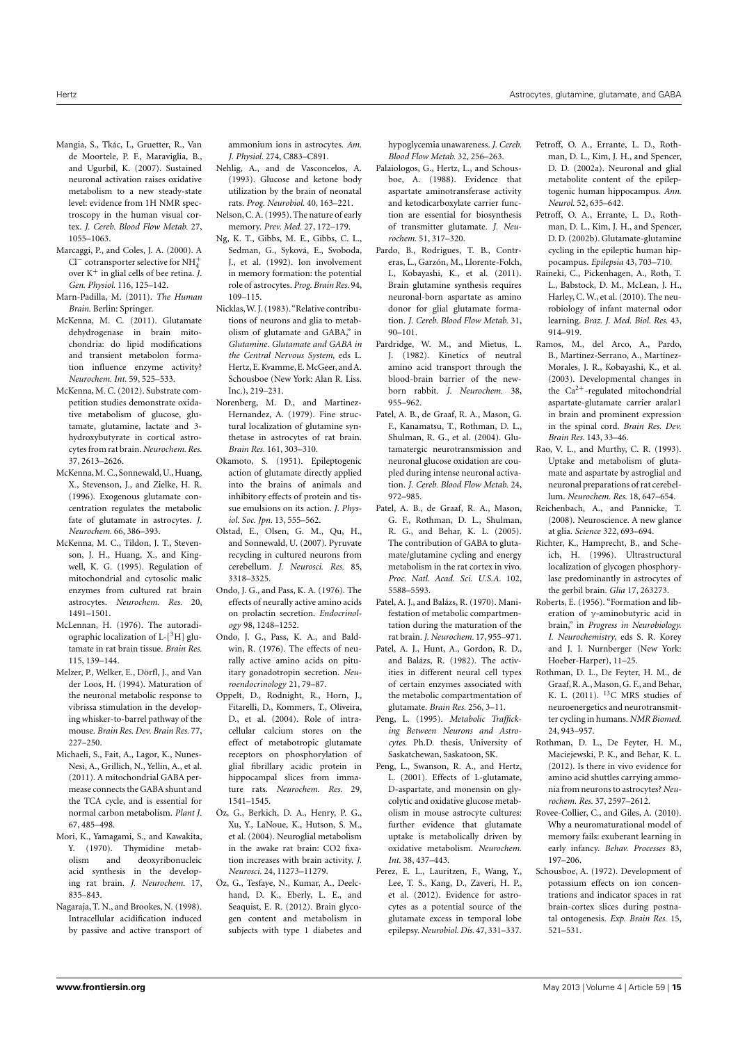- <span id="page-14-22"></span><span id="page-14-15"></span>Marcaggi, P., and Coles, J. A. (2000). A Cl<sup>−</sup> cotransporter selective for NH<sup>+</sup><sub>4</sub> over K<sup>+</sup> in glial cells of bee retina. *J. Gen. Physiol.* 116, 125–142.
- <span id="page-14-43"></span>Marn-Padilla, M. (2011). *The Human Brain*. Berlin: Springer.
- <span id="page-14-24"></span>McKenna, M. C. (2011). Glutamate dehydrogenase in brain mitochondria: do lipid modifications and transient metabolon formation influence enzyme activity? *Neurochem. Int.* 59, 525–533.
- <span id="page-14-5"></span>McKenna, M. C. (2012). Substrate competition studies demonstrate oxidative metabolism of glucose, glutamate, glutamine, lactate and 3 hydroxybutyrate in cortical astrocytes from rat brain. *Neurochem. Res.* 37, 2613–2626.
- <span id="page-14-9"></span>McKenna, M. C., Sonnewald, U., Huang, X., Stevenson, J., and Zielke, H. R. (1996). Exogenous glutamate concentration regulates the metabolic fate of glutamate in astrocytes. *J. Neurochem.* 66, 386–393.
- <span id="page-14-8"></span>McKenna, M. C., Tildon, J. T., Stevenson, J. H., Huang, X., and Kingwell, K. G. (1995). Regulation of mitochondrial and cytosolic malic enzymes from cultured rat brain astrocytes. *Neurochem. Res.* 20, 1491–1501.
- <span id="page-14-2"></span>McLennan, H. (1976). The autoradiographic localization of L- $[3H]$  glutamate in rat brain tissue. *Brain Res.* 115, 139–144.
- <span id="page-14-35"></span>Melzer, P., Welker, E., Dörfl, J., and Van der Loos, H. (1994). Maturation of the neuronal metabolic response to vibrissa stimulation in the developing whisker-to-barrel pathway of the mouse. *Brain Res. Dev. Brain Res.* 77, 227–250.
- <span id="page-14-28"></span>Michaeli, S., Fait, A., Lagor, K., Nunes-Nesi, A., Grillich, N., Yellin, A., et al. (2011). A mitochondrial GABA permease connects the GABA shunt and the TCA cycle, and is essential for normal carbon metabolism. *Plant J.* 67, 485–498.
- <span id="page-14-30"></span>Mori, K., Yamagami, S., and Kawakita, Y. (1970). Thymidine metabolism and deoxyribonucleic acid synthesis in the developing rat brain. *J. Neurochem.* 17, 835–843.
- <span id="page-14-23"></span>Nagaraja, T. N., and Brookes, N. (1998). Intracellular acidification induced by passive and active transport of

ammonium ions in astrocytes. *Am. J. Physiol.* 274, C883–C891.

- <span id="page-14-36"></span>Nehlig, A., and de Vasconcelos, A. (1993). Glucose and ketone body utilization by the brain of neonatal rats. *Prog. Neurobiol.* 40, 163–221.
- <span id="page-14-45"></span>Nelson, C. A. (1995). The nature of early memory. *Prev. Med.* 27, 172–179.
- <span id="page-14-41"></span>Ng, K. T., Gibbs, M. E., Gibbs, C. L., Sedman, G., Syková, E., Svoboda, J., et al. (1992). Ion involvement in memory formation: the potential role of astrocytes. *Prog. Brain Res.* 94, 109–115.
- <span id="page-14-19"></span>Nicklas,W. J. (1983)."Relative contributions of neurons and glia to metabolism of glutamate and GABA," in *Glutamine. Glutamate and GABA in the Central Nervous System*, eds L. Hertz, E. Kvamme, E. McGeer, and A. Schousboe (New York: Alan R. Liss. Inc.), 219–231.
- <span id="page-14-10"></span>Norenberg, M. D., and Martinez-Hernandez, A. (1979). Fine structural localization of glutamine synthetase in astrocytes of rat brain. *Brain Res.* 161, 303–310.
- <span id="page-14-0"></span>Okamoto, S. (1951). Epileptogenic action of glutamate directly applied into the brains of animals and inhibitory effects of protein and tissue emulsions on its action. *J. Physiol. Soc. Jpn.* 13, 555–562.
- <span id="page-14-40"></span>Olstad, E., Olsen, G. M., Qu, H., and Sonnewald, U. (2007). Pyruvate recycling in cultured neurons from cerebellum. *J. Neurosci. Res.* 85, 3318–3325.
- <span id="page-14-3"></span>Ondo, J. G., and Pass, K. A. (1976). The effects of neurally active amino acids on prolactin secretion. *Endocrinology* 98, 1248–1252.
- <span id="page-14-4"></span>Ondo, J. G., Pass, K. A., and Baldwin, R. (1976). The effects of neurally active amino acids on pituitary gonadotropin secretion. *Neuroendocrinology* 21, 79–87.
- <span id="page-14-37"></span>Oppelt, D., Rodnight, R., Horn, J., Fitarelli, D., Kommers, T., Oliveira, D., et al. (2004). Role of intracellular calcium stores on the effect of metabotropic glutamate receptors on phosphorylation of glial fibrillary acidic protein in hippocampal slices from immature rats. *Neurochem. Res.* 29, 1541–1545.
- <span id="page-14-11"></span>Öz, G., Berkich, D. A., Henry, P. G., Xu, Y., LaNoue, K., Hutson, S. M., et al. (2004). Neuroglial metabolism in the awake rat brain: CO2 fixation increases with brain activity. *J. Neurosci.* 24, 11273–11279.
- <span id="page-14-12"></span>Öz, G., Tesfaye, N., Kumar, A., Deelchand, D. K., Eberly, L. E., and Seaquist, E. R. (2012). Brain glycogen content and metabolism in subjects with type 1 diabetes and

hypoglycemia unawareness. *J. Cereb. Blood Flow Metab.* 32, 256–263.

- <span id="page-14-21"></span>Palaiologos, G., Hertz, L., and Schousboe, A. (1988). Evidence that aspartate aminotransferase activity and ketodicarboxylate carrier function are essential for biosynthesis of transmitter glutamate. *J. Neurochem.* 51, 317–320.
- <span id="page-14-16"></span>Pardo, B., Rodrigues, T. B., Contreras, L., Garzón, M., Llorente-Folch, I., Kobayashi, K., et al. (2011). Brain glutamine synthesis requires neuronal-born aspartate as amino donor for glial glutamate formation. *J. Cereb. Blood Flow Metab.* 31, 90–101.
- <span id="page-14-39"></span>Pardridge, W. M., and Mietus, L. J. (1982). Kinetics of neutral amino acid transport through the blood-brain barrier of the newborn rabbit. *J. Neurochem.* 38, 955–962.
- <span id="page-14-14"></span>Patel, A. B., de Graaf, R. A., Mason, G. F., Kanamatsu, T., Rothman, D. L., Shulman, R. G., et al. (2004). Glutamatergic neurotransmission and neuronal glucose oxidation are coupled during intense neuronal activation. *J. Cereb. Blood Flow Metab.* 24, 972–985.
- <span id="page-14-7"></span>Patel, A. B., de Graaf, R. A., Mason, G. F., Rothman, D. L., Shulman, R. G., and Behar, K. L. (2005). The contribution of GABA to glutamate/glutamine cycling and energy metabolism in the rat cortex in vivo. *Proc. Natl. Acad. Sci. U.S.A.* 102, 5588–5593.
- <span id="page-14-34"></span>Patel, A. J., and Balázs, R. (1970). Manifestation of metabolic compartmentation during the maturation of the rat brain. *J. Neurochem.* 17, 955–971.
- <span id="page-14-32"></span>Patel, A. J., Hunt, A., Gordon, R. D., and Balázs, R. (1982). The activities in different neural cell types of certain enzymes associated with the metabolic compartmentation of glutamate. *Brain Res.* 256, 3–11.
- <span id="page-14-33"></span>Peng, L. (1995). *Metabolic Trafficking Between Neurons and Astrocytes*. Ph.D. thesis, University of Saskatchewan, Saskatoon, SK.
- <span id="page-14-29"></span>Peng, L., Swanson, R. A., and Hertz, L. (2001). Effects of L-glutamate, D-aspartate, and monensin on glycolytic and oxidative glucose metabolism in mouse astrocyte cultures: further evidence that glutamate uptake is metabolically driven by oxidative metabolism. *Neurochem. Int.* 38, 437–443.
- <span id="page-14-20"></span>Perez, E. L., Lauritzen, F., Wang, Y., Lee, T. S., Kang, D., Zaveri, H. P., et al. (2012). Evidence for astrocytes as a potential source of the glutamate excess in temporal lobe epilepsy. *Neurobiol. Dis.* 47, 331–337.
- <span id="page-14-26"></span>Petroff, O. A., Errante, L. D., Rothman, D. L., Kim, J. H., and Spencer, D. D. (2002a). Neuronal and glial metabolite content of the epileptogenic human hippocampus. *Ann. Neurol.* 52, 635–642.
- <span id="page-14-27"></span>Petroff, O. A., Errante, L. D., Rothman, D. L., Kim, J. H., and Spencer, D. D. (2002b). Glutamate-glutamine cycling in the epileptic human hippocampus. *Epilepsia* 43, 703–710.
- <span id="page-14-42"></span>Raineki, C., Pickenhagen, A., Roth, T. L., Babstock, D. M., McLean, J. H., Harley, C. W., et al. (2010). The neurobiology of infant maternal odor learning. *Braz. J. Med. Biol. Res.* 43, 914–919.
- <span id="page-14-17"></span>Ramos, M., del Arco, A., Pardo, B., Martínez-Serrano, A., Martínez-Morales, J. R., Kobayashi, K., et al. (2003). Developmental changes in the  $Ca^{2+}$ -regulated mitochondrial aspartate-glutamate carrier aralar1 in brain and prominent expression in the spinal cord. *Brain Res. Dev. Brain Res.* 143, 33–46.
- <span id="page-14-25"></span>Rao, V. L., and Murthy, C. R. (1993). Uptake and metabolism of glutamate and aspartate by astroglial and neuronal preparations of rat cerebellum. *Neurochem. Res.* 18, 647–654.
- <span id="page-14-38"></span>Reichenbach, A., and Pannicke, T. (2008). Neuroscience. A new glance at glia. *Science* 322, 693–694.
- <span id="page-14-18"></span>Richter, K., Hamprecht, B., and Scheich, H. (1996). Ultrastructural localization of glycogen phosphorylase predominantly in astrocytes of the gerbil brain. *Glia* 17, 263273.
- <span id="page-14-1"></span>Roberts, E. (1956). "Formation and liberation of γ-aminobutyric acid in brain," in *Progress in Neurobiology. I. Neurochemistry*, eds S. R. Korey and J. I. Nurnberger (New York: Hoeber-Harper), 11–25.
- <span id="page-14-6"></span>Rothman, D. L., De Feyter, H. M., de Graaf, R. A., Mason, G. F., and Behar, K. L. (2011). <sup>13</sup>C MRS studies of neuroenergetics and neurotransmitter cycling in humans. *NMR Biomed.* 24, 943–957.
- <span id="page-14-13"></span>Rothman, D. L., De Feyter, H. M., Maciejewski, P. K., and Behar, K. L. (2012). Is there in vivo evidence for amino acid shuttles carrying ammonia from neurons to astrocytes? *Neurochem. Res.* 37, 2597–2612.
- <span id="page-14-44"></span>Rovee-Collier, C., and Giles, A. (2010). Why a neuromaturational model of memory fails: exuberant learning in early infancy. *Behav. Processes* 83, 197–206.
- <span id="page-14-31"></span>Schousboe, A. (1972). Development of potassium effects on ion concentrations and indicator spaces in rat brain-cortex slices during postnatal ontogenesis. *Exp. Brain Res.* 15, 521–531.